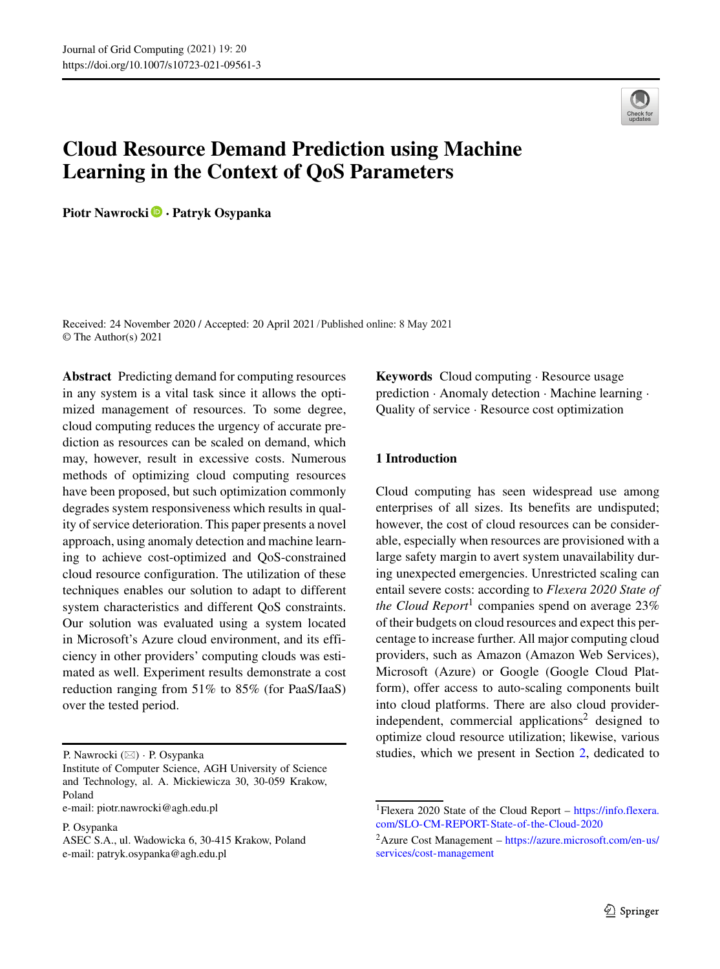# **Cloud Resource Demand Prediction using Machine Learning in the Context of QoS Parameters**

**Piotr Nawrocki · Patryk Osypanka**



Received: 24 November 2020 / Accepted: 20 April 2021 /Published online: 8 May 2021© The Author(s) 2021

**Abstract** Predicting demand for computing resources in any system is a vital task since it allows the optimized management of resources. To some degree, cloud computing reduces the urgency of accurate prediction as resources can be scaled on demand, which may, however, result in excessive costs. Numerous methods of optimizing cloud computing resources have been proposed, but such optimization commonly degrades system responsiveness which results in quality of service deterioration. This paper presents a novel approach, using anomaly detection and machine learning to achieve cost-optimized and QoS-constrained cloud resource configuration. The utilization of these techniques enables our solution to adapt to different system characteristics and different QoS constraints. Our solution was evaluated using a system located in Microsoft's Azure cloud environment, and its efficiency in other providers' computing clouds was estimated as well. Experiment results demonstrate a cost reduction ranging from 51% to 85% (for PaaS/IaaS) over the tested period.

e-mail: [piotr.nawrocki@agh.edu.pl](mailto:piotr.nawrocki@agh.edu.pl)

P. Osypanka

**Keywords** Cloud computing · Resource usage prediction · Anomaly detection · Machine learning · Quality of service · Resource cost optimization

## **1 Introduction**

Cloud computing has seen widespread use among enterprises of all sizes. Its benefits are undisputed; however, the cost of cloud resources can be considerable, especially when resources are provisioned with a large safety margin to avert system unavailability during unexpected emergencies. Unrestricted scaling can entail severe costs: according to *Flexera 2020 State of the Cloud Report*<sup>[1](#page-0-0)</sup> companies spend on average  $23\%$ of their budgets on cloud resources and expect this percentage to increase further. All major computing cloud providers, such as Amazon (Amazon Web Services), Microsoft (Azure) or Google (Google Cloud Platform), offer access to auto-scaling components built into cloud platforms. There are also cloud providerindependent, commercial applications<sup>2</sup> designed to optimize cloud resource utilization; likewise, various studies, which we present in Section [2,](#page-1-0) dedicated to

P. Nawrocki (⊠) · P. Osypanka

Institute of Computer Science, AGH University of Science and Technology, al. A. Mickiewicza 30, 30-059 Krakow, Poland

ASEC S.A., ul. Wadowicka 6, 30-415 Krakow, Poland e-mail: [patryk.osypanka@agh.edu.pl](mailto:patryk.osypanka@agh.edu.pl)

<span id="page-0-0"></span><sup>1</sup>Flexera 2020 State of the Cloud Report – [https://info.flexera.](https://info.flexera.com/SLO-CM-REPORT-State-of-the-Cloud-2020) [com/SLO-CM-REPORT-State-of-the-Cloud-2020](https://info.flexera.com/SLO-CM-REPORT-State-of-the-Cloud-2020)

<span id="page-0-1"></span> $^{2}$ Azure Cost Management – [https://azure.microsoft.com/en-us/](https://azure.microsoft.com/en-us/services/cost-management) [services/cost-management](https://azure.microsoft.com/en-us/services/cost-management)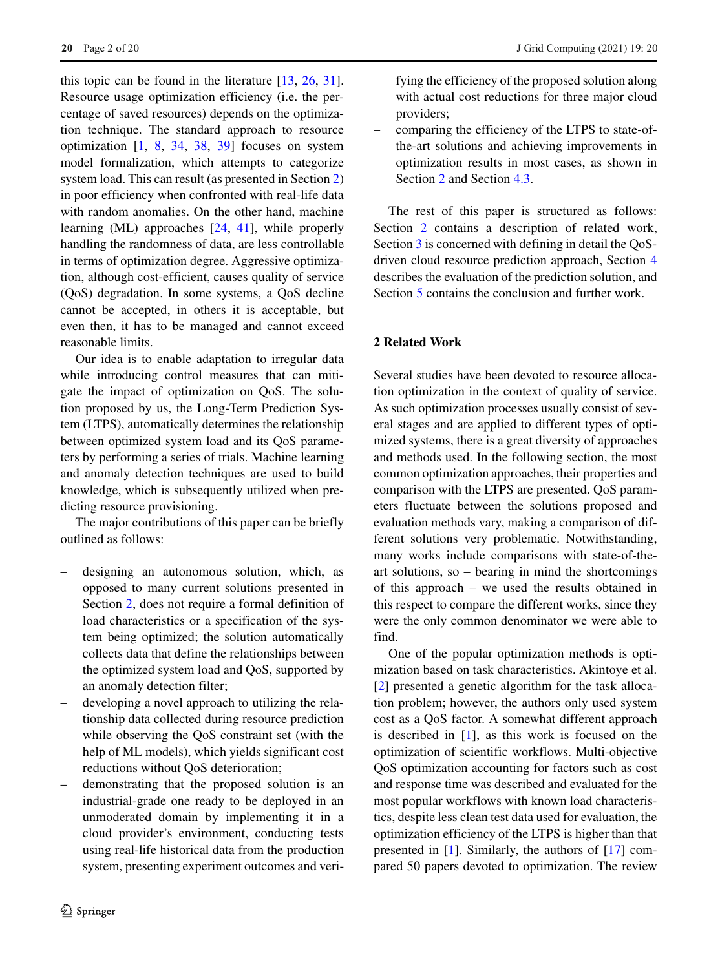this topic can be found in the literature [\[13,](#page-18-0) [26,](#page-18-1) [31\]](#page-18-2). Resource usage optimization efficiency (i.e. the percentage of saved resources) depends on the optimization technique. The standard approach to resource optimization  $\begin{bmatrix} 1, 8, 34, 38, 39 \end{bmatrix}$  $\begin{bmatrix} 1, 8, 34, 38, 39 \end{bmatrix}$  $\begin{bmatrix} 1, 8, 34, 38, 39 \end{bmatrix}$  $\begin{bmatrix} 1, 8, 34, 38, 39 \end{bmatrix}$  $\begin{bmatrix} 1, 8, 34, 38, 39 \end{bmatrix}$  $\begin{bmatrix} 1, 8, 34, 38, 39 \end{bmatrix}$  $\begin{bmatrix} 1, 8, 34, 38, 39 \end{bmatrix}$  focuses on system model formalization, which attempts to categorize system load. This can result (as presented in Section [2\)](#page-1-0) in poor efficiency when confronted with real-life data with random anomalies. On the other hand, machine learning (ML) approaches [\[24,](#page-18-6) [41\]](#page-19-0), while properly handling the randomness of data, are less controllable in terms of optimization degree. Aggressive optimization, although cost-efficient, causes quality of service (QoS) degradation. In some systems, a QoS decline cannot be accepted, in others it is acceptable, but even then, it has to be managed and cannot exceed reasonable limits.

Our idea is to enable adaptation to irregular data while introducing control measures that can mitigate the impact of optimization on QoS. The solution proposed by us, the Long-Term Prediction System (LTPS), automatically determines the relationship between optimized system load and its QoS parameters by performing a series of trials. Machine learning and anomaly detection techniques are used to build knowledge, which is subsequently utilized when predicting resource provisioning.

The major contributions of this paper can be briefly outlined as follows:

- designing an autonomous solution, which, as opposed to many current solutions presented in Section [2,](#page-1-0) does not require a formal definition of load characteristics or a specification of the system being optimized; the solution automatically collects data that define the relationships between the optimized system load and QoS, supported by an anomaly detection filter;
- developing a novel approach to utilizing the relationship data collected during resource prediction while observing the QoS constraint set (with the help of ML models), which yields significant cost reductions without QoS deterioration;
- demonstrating that the proposed solution is an industrial-grade one ready to be deployed in an unmoderated domain by implementing it in a cloud provider's environment, conducting tests using real-life historical data from the production system, presenting experiment outcomes and veri-

fying the efficiency of the proposed solution along with actual cost reductions for three major cloud providers;

– comparing the efficiency of the LTPS to state-ofthe-art solutions and achieving improvements in optimization results in most cases, as shown in Section [2](#page-1-0) and Section [4.3.](#page-14-0)

The rest of this paper is structured as follows: Section [2](#page-1-0) contains a description of related work, Section [3](#page-3-0) is concerned with defining in detail the QoSdriven cloud resource prediction approach, Section [4](#page-7-0) describes the evaluation of the prediction solution, and Section [5](#page-16-0) contains the conclusion and further work.

# <span id="page-1-0"></span>**2 Related Work**

Several studies have been devoted to resource allocation optimization in the context of quality of service. As such optimization processes usually consist of several stages and are applied to different types of optimized systems, there is a great diversity of approaches and methods used. In the following section, the most common optimization approaches, their properties and comparison with the LTPS are presented. QoS parameters fluctuate between the solutions proposed and evaluation methods vary, making a comparison of different solutions very problematic. Notwithstanding, many works include comparisons with state-of-theart solutions, so – bearing in mind the shortcomings of this approach – we used the results obtained in this respect to compare the different works, since they were the only common denominator we were able to find.

One of the popular optimization methods is optimization based on task characteristics. Akintoye et al. [\[2\]](#page-17-2) presented a genetic algorithm for the task allocation problem; however, the authors only used system cost as a QoS factor. A somewhat different approach is described in [\[1\]](#page-17-0), as this work is focused on the optimization of scientific workflows. Multi-objective QoS optimization accounting for factors such as cost and response time was described and evaluated for the most popular workflows with known load characteristics, despite less clean test data used for evaluation, the optimization efficiency of the LTPS is higher than that presented in [\[1\]](#page-17-0). Similarly, the authors of [\[17\]](#page-18-7) compared 50 papers devoted to optimization. The review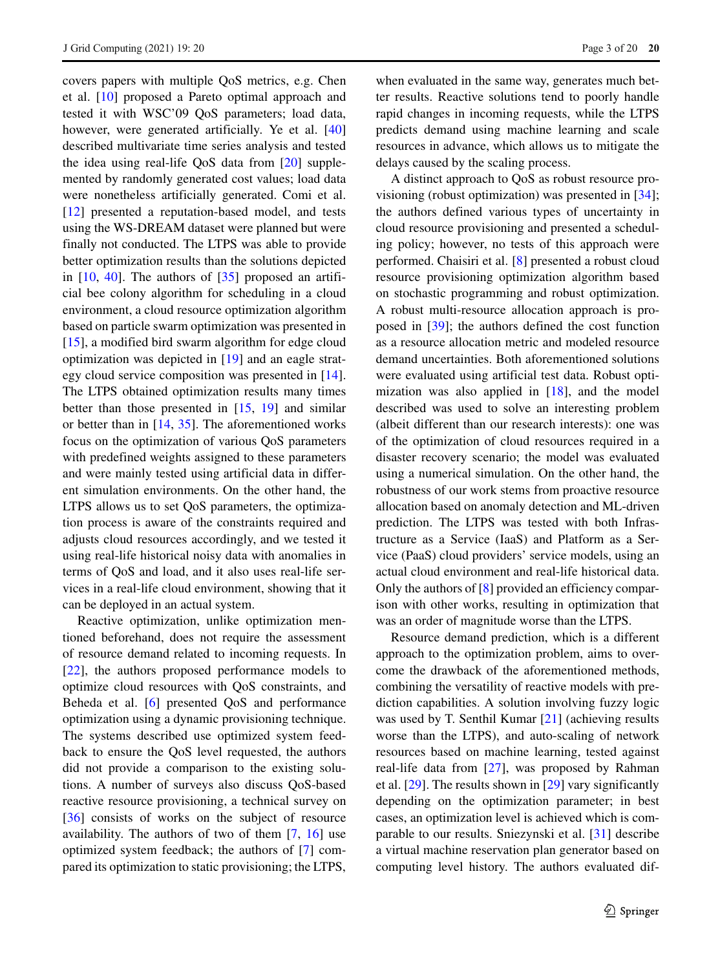covers papers with multiple QoS metrics, e.g. Chen et al. [\[10\]](#page-18-8) proposed a Pareto optimal approach and tested it with WSC'09 QoS parameters; load data, however, were generated artificially. Ye et al. [\[40\]](#page-19-1) described multivariate time series analysis and tested the idea using real-life QoS data from [\[20\]](#page-18-9) supplemented by randomly generated cost values; load data were nonetheless artificially generated. Comi et al. [\[12\]](#page-18-10) presented a reputation-based model, and tests using the WS-DREAM dataset were planned but were finally not conducted. The LTPS was able to provide better optimization results than the solutions depicted in  $[10, 40]$  $[10, 40]$  $[10, 40]$ . The authors of  $[35]$  proposed an artificial bee colony algorithm for scheduling in a cloud environment, a cloud resource optimization algorithm based on particle swarm optimization was presented in [\[15\]](#page-18-12), a modified bird swarm algorithm for edge cloud optimization was depicted in [\[19\]](#page-18-13) and an eagle strategy cloud service composition was presented in [\[14\]](#page-18-14). The LTPS obtained optimization results many times better than those presented in [\[15,](#page-18-12) [19\]](#page-18-13) and similar or better than in [\[14,](#page-18-14) [35\]](#page-18-11). The aforementioned works focus on the optimization of various QoS parameters with predefined weights assigned to these parameters and were mainly tested using artificial data in different simulation environments. On the other hand, the LTPS allows us to set QoS parameters, the optimization process is aware of the constraints required and adjusts cloud resources accordingly, and we tested it using real-life historical noisy data with anomalies in terms of QoS and load, and it also uses real-life services in a real-life cloud environment, showing that it can be deployed in an actual system.

Reactive optimization, unlike optimization mentioned beforehand, does not require the assessment of resource demand related to incoming requests. In [\[22\]](#page-18-15), the authors proposed performance models to optimize cloud resources with QoS constraints, and Beheda et al. [\[6\]](#page-17-3) presented QoS and performance optimization using a dynamic provisioning technique. The systems described use optimized system feedback to ensure the QoS level requested, the authors did not provide a comparison to the existing solutions. A number of surveys also discuss QoS-based reactive resource provisioning, a technical survey on [\[36\]](#page-18-16) consists of works on the subject of resource availability. The authors of two of them [\[7,](#page-17-4) [16\]](#page-18-17) use optimized system feedback; the authors of [\[7\]](#page-17-4) compared its optimization to static provisioning; the LTPS,

when evaluated in the same way, generates much better results. Reactive solutions tend to poorly handle rapid changes in incoming requests, while the LTPS predicts demand using machine learning and scale resources in advance, which allows us to mitigate the delays caused by the scaling process.

A distinct approach to QoS as robust resource provisioning (robust optimization) was presented in [\[34\]](#page-18-3); the authors defined various types of uncertainty in cloud resource provisioning and presented a scheduling policy; however, no tests of this approach were performed. Chaisiri et al. [\[8\]](#page-17-1) presented a robust cloud resource provisioning optimization algorithm based on stochastic programming and robust optimization. A robust multi-resource allocation approach is proposed in [\[39\]](#page-18-5); the authors defined the cost function as a resource allocation metric and modeled resource demand uncertainties. Both aforementioned solutions were evaluated using artificial test data. Robust optimization was also applied in  $[18]$ , and the model described was used to solve an interesting problem (albeit different than our research interests): one was of the optimization of cloud resources required in a disaster recovery scenario; the model was evaluated using a numerical simulation. On the other hand, the robustness of our work stems from proactive resource allocation based on anomaly detection and ML-driven prediction. The LTPS was tested with both Infrastructure as a Service (IaaS) and Platform as a Service (PaaS) cloud providers' service models, using an actual cloud environment and real-life historical data. Only the authors of [\[8\]](#page-17-1) provided an efficiency comparison with other works, resulting in optimization that was an order of magnitude worse than the LTPS.

Resource demand prediction, which is a different approach to the optimization problem, aims to overcome the drawback of the aforementioned methods, combining the versatility of reactive models with prediction capabilities. A solution involving fuzzy logic was used by T. Senthil Kumar [\[21\]](#page-18-19) (achieving results worse than the LTPS), and auto-scaling of network resources based on machine learning, tested against real-life data from [\[27\]](#page-18-20), was proposed by Rahman et al. [\[29\]](#page-18-21). The results shown in [\[29\]](#page-18-21) vary significantly depending on the optimization parameter; in best cases, an optimization level is achieved which is comparable to our results. Sniezynski et al. [\[31\]](#page-18-2) describe a virtual machine reservation plan generator based on computing level history. The authors evaluated dif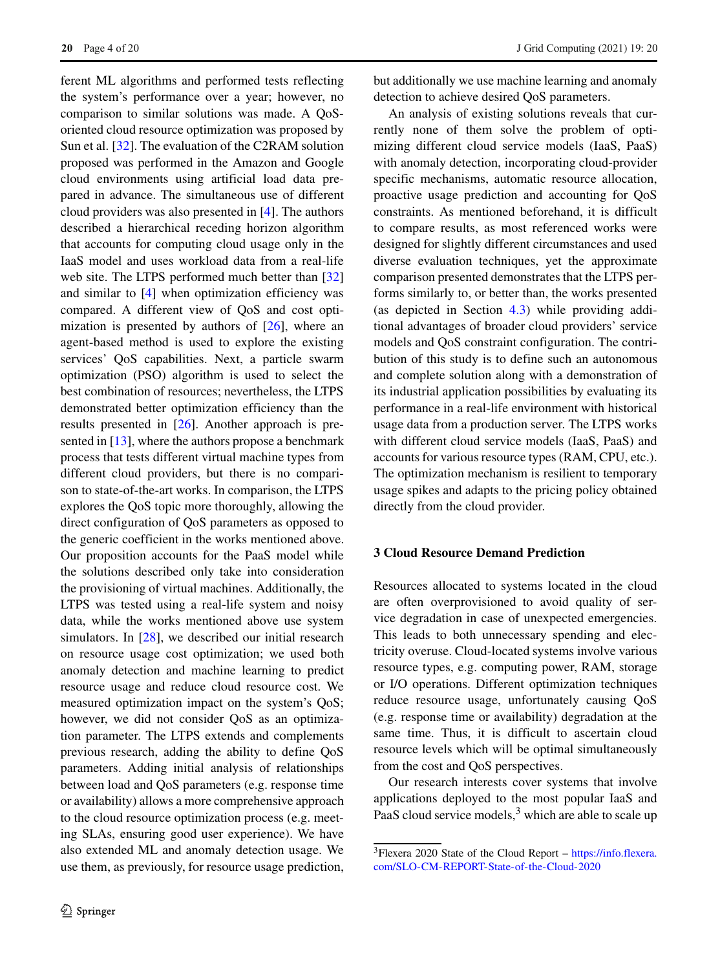ferent ML algorithms and performed tests reflecting the system's performance over a year; however, no comparison to similar solutions was made. A QoSoriented cloud resource optimization was proposed by Sun et al. [\[32\]](#page-18-22). The evaluation of the C2RAM solution proposed was performed in the Amazon and Google cloud environments using artificial load data prepared in advance. The simultaneous use of different cloud providers was also presented in [\[4\]](#page-17-5). The authors described a hierarchical receding horizon algorithm that accounts for computing cloud usage only in the IaaS model and uses workload data from a real-life web site. The LTPS performed much better than [\[32\]](#page-18-22) and similar to [\[4\]](#page-17-5) when optimization efficiency was compared. A different view of QoS and cost optimization is presented by authors of  $[26]$ , where an agent-based method is used to explore the existing services' QoS capabilities. Next, a particle swarm optimization (PSO) algorithm is used to select the best combination of resources; nevertheless, the LTPS demonstrated better optimization efficiency than the results presented in [\[26\]](#page-18-1). Another approach is pre-sented in [\[13\]](#page-18-0), where the authors propose a benchmark process that tests different virtual machine types from different cloud providers, but there is no comparison to state-of-the-art works. In comparison, the LTPS explores the QoS topic more thoroughly, allowing the direct configuration of QoS parameters as opposed to the generic coefficient in the works mentioned above. Our proposition accounts for the PaaS model while the solutions described only take into consideration the provisioning of virtual machines. Additionally, the LTPS was tested using a real-life system and noisy data, while the works mentioned above use system simulators. In [\[28\]](#page-18-23), we described our initial research on resource usage cost optimization; we used both anomaly detection and machine learning to predict resource usage and reduce cloud resource cost. We measured optimization impact on the system's QoS; however, we did not consider QoS as an optimization parameter. The LTPS extends and complements previous research, adding the ability to define QoS parameters. Adding initial analysis of relationships between load and QoS parameters (e.g. response time or availability) allows a more comprehensive approach to the cloud resource optimization process (e.g. meeting SLAs, ensuring good user experience). We have also extended ML and anomaly detection usage. We use them, as previously, for resource usage prediction, but additionally we use machine learning and anomaly detection to achieve desired QoS parameters.

An analysis of existing solutions reveals that currently none of them solve the problem of optimizing different cloud service models (IaaS, PaaS) with anomaly detection, incorporating cloud-provider specific mechanisms, automatic resource allocation, proactive usage prediction and accounting for QoS constraints. As mentioned beforehand, it is difficult to compare results, as most referenced works were designed for slightly different circumstances and used diverse evaluation techniques, yet the approximate comparison presented demonstrates that the LTPS performs similarly to, or better than, the works presented (as depicted in Section [4.3\)](#page-14-0) while providing additional advantages of broader cloud providers' service models and QoS constraint configuration. The contribution of this study is to define such an autonomous and complete solution along with a demonstration of its industrial application possibilities by evaluating its performance in a real-life environment with historical usage data from a production server. The LTPS works with different cloud service models (IaaS, PaaS) and accounts for various resource types (RAM, CPU, etc.). The optimization mechanism is resilient to temporary usage spikes and adapts to the pricing policy obtained directly from the cloud provider.

# <span id="page-3-0"></span>**3 Cloud Resource Demand Prediction**

Resources allocated to systems located in the cloud are often overprovisioned to avoid quality of service degradation in case of unexpected emergencies. This leads to both unnecessary spending and electricity overuse. Cloud-located systems involve various resource types, e.g. computing power, RAM, storage or I/O operations. Different optimization techniques reduce resource usage, unfortunately causing QoS (e.g. response time or availability) degradation at the same time. Thus, it is difficult to ascertain cloud resource levels which will be optimal simultaneously from the cost and QoS perspectives.

Our research interests cover systems that involve applications deployed to the most popular IaaS and PaaS cloud service models, $3$  which are able to scale up

<span id="page-3-1"></span><sup>3</sup>Flexera 2020 State of the Cloud Report – [https://info.flexera.](https://info.flexera.com/SLO-CM-REPORT-State-of-the-Cloud-2020) [com/SLO-CM-REPORT-State-of-the-Cloud-2020](https://info.flexera.com/SLO-CM-REPORT-State-of-the-Cloud-2020)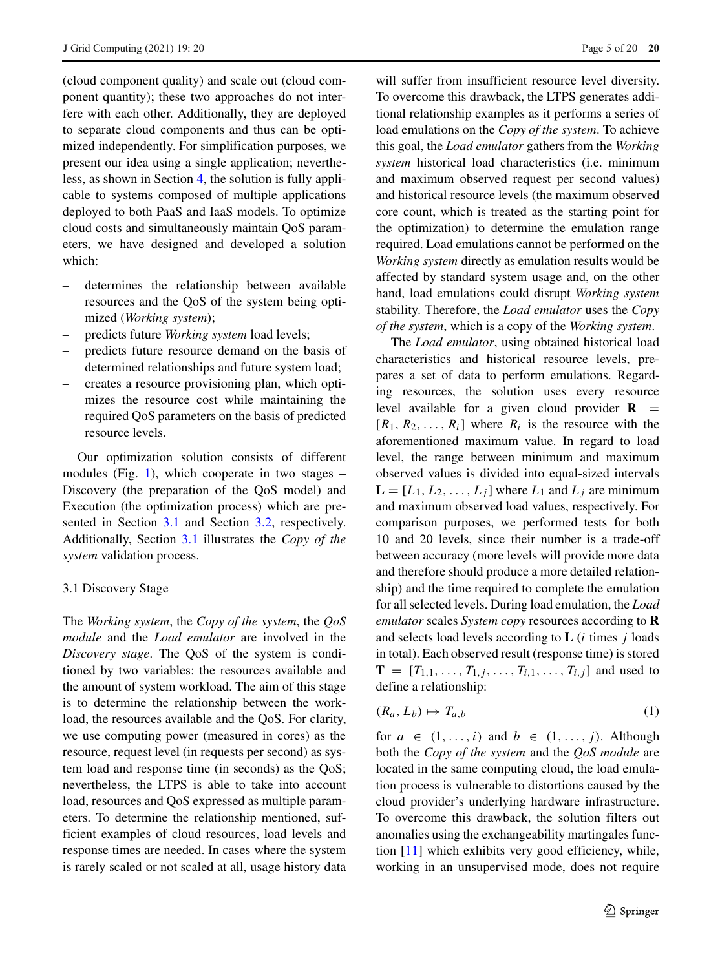(cloud component quality) and scale out (cloud component quantity); these two approaches do not interfere with each other. Additionally, they are deployed to separate cloud components and thus can be optimized independently. For simplification purposes, we present our idea using a single application; nevertheless, as shown in Section [4,](#page-7-0) the solution is fully applicable to systems composed of multiple applications deployed to both PaaS and IaaS models. To optimize cloud costs and simultaneously maintain QoS parameters, we have designed and developed a solution which:

- determines the relationship between available resources and the QoS of the system being optimized (*Working system*);
- predicts future *Working system* load levels;
- predicts future resource demand on the basis of determined relationships and future system load;
- creates a resource provisioning plan, which optimizes the resource cost while maintaining the required QoS parameters on the basis of predicted resource levels.

Our optimization solution consists of different modules (Fig. [1\)](#page-5-0), which cooperate in two stages  $-$ Discovery (the preparation of the QoS model) and Execution (the optimization process) which are presented in Section [3.1](#page-4-0) and Section [3.2,](#page-6-0) respectively. Additionally, Section [3.1](#page-4-0) illustrates the *Copy of the system* validation process.

## <span id="page-4-0"></span>3.1 Discovery Stage

The *Working system*, the *Copy of the system*, the *QoS module* and the *Load emulator* are involved in the *Discovery stage*. The QoS of the system is conditioned by two variables: the resources available and the amount of system workload. The aim of this stage is to determine the relationship between the workload, the resources available and the QoS. For clarity, we use computing power (measured in cores) as the resource, request level (in requests per second) as system load and response time (in seconds) as the QoS; nevertheless, the LTPS is able to take into account load, resources and QoS expressed as multiple parameters. To determine the relationship mentioned, sufficient examples of cloud resources, load levels and response times are needed. In cases where the system is rarely scaled or not scaled at all, usage history data

will suffer from insufficient resource level diversity. To overcome this drawback, the LTPS generates additional relationship examples as it performs a series of load emulations on the *Copy of the system*. To achieve this goal, the *Load emulator* gathers from the *Working system* historical load characteristics (i.e. minimum and maximum observed request per second values) and historical resource levels (the maximum observed core count, which is treated as the starting point for the optimization) to determine the emulation range required. Load emulations cannot be performed on the *Working system* directly as emulation results would be affected by standard system usage and, on the other hand, load emulations could disrupt *Working system* stability. Therefore, the *Load emulator* uses the *Copy of the system*, which is a copy of the *Working system*.

The *Load emulator*, using obtained historical load characteristics and historical resource levels, prepares a set of data to perform emulations. Regarding resources, the solution uses every resource level available for a given cloud provider  $\mathbf{R}$  =  $[R_1, R_2, \ldots, R_i]$  where  $R_i$  is the resource with the aforementioned maximum value. In regard to load level, the range between minimum and maximum observed values is divided into equal-sized intervals  $L = [L_1, L_2, \ldots, L_j]$  where  $L_1$  and  $L_j$  are minimum and maximum observed load values, respectively. For comparison purposes, we performed tests for both 10 and 20 levels, since their number is a trade-off between accuracy (more levels will provide more data and therefore should produce a more detailed relationship) and the time required to complete the emulation for all selected levels. During load emulation, the *Load emulator* scales *System copy* resources according to **R** and selects load levels according to **L** (*i* times *j* loads in total). Each observed result (response time) is stored  $T = [T_{1,1}, \ldots, T_{1,j}, \ldots, T_{i,1}, \ldots, T_{i,j}]$  and used to define a relationship:

<span id="page-4-1"></span>
$$
(R_a, L_b) \mapsto T_{a,b} \tag{1}
$$

for  $a \in (1, \ldots, i)$  and  $b \in (1, \ldots, i)$ . Although both the *Copy of the system* and the *QoS module* are located in the same computing cloud, the load emulation process is vulnerable to distortions caused by the cloud provider's underlying hardware infrastructure. To overcome this drawback, the solution filters out anomalies using the exchangeability martingales function [\[11\]](#page-18-24) which exhibits very good efficiency, while, working in an unsupervised mode, does not require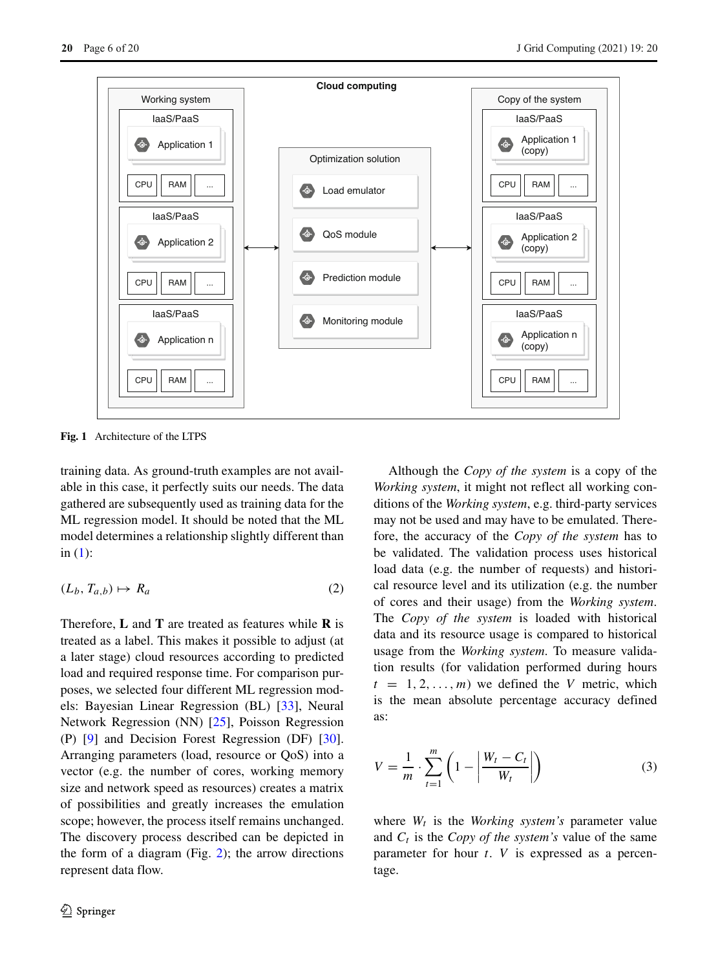<span id="page-5-0"></span>

**Fig. 1** Architecture of the LTPS

training data. As ground-truth examples are not available in this case, it perfectly suits our needs. The data gathered are subsequently used as training data for the ML regression model. It should be noted that the ML model determines a relationship slightly different than in  $(1)$ :

$$
(L_b, T_{a,b}) \mapsto R_a \tag{2}
$$

Therefore, **L** and **T** are treated as features while **R** is treated as a label. This makes it possible to adjust (at a later stage) cloud resources according to predicted load and required response time. For comparison purposes, we selected four different ML regression models: Bayesian Linear Regression (BL) [\[33\]](#page-18-25), Neural Network Regression (NN) [\[25\]](#page-18-26), Poisson Regression (P) [\[9\]](#page-17-6) and Decision Forest Regression (DF) [\[30\]](#page-18-27). Arranging parameters (load, resource or QoS) into a vector (e.g. the number of cores, working memory size and network speed as resources) creates a matrix of possibilities and greatly increases the emulation scope; however, the process itself remains unchanged. The discovery process described can be depicted in the form of a diagram (Fig.  $2$ ); the arrow directions represent data flow.

Although the *Copy of the system* is a copy of the *Working system*, it might not reflect all working conditions of the *Working system*, e.g. third-party services may not be used and may have to be emulated. Therefore, the accuracy of the *Copy of the system* has to be validated. The validation process uses historical load data (e.g. the number of requests) and historical resource level and its utilization (e.g. the number of cores and their usage) from the *Working system*. The *Copy of the system* is loaded with historical data and its resource usage is compared to historical usage from the *Working system*. To measure validation results (for validation performed during hours  $t = 1, 2, \ldots, m$  we defined the *V* metric, which is the mean absolute percentage accuracy defined as:

<span id="page-5-1"></span>
$$
V = \frac{1}{m} \cdot \sum_{t=1}^{m} \left( 1 - \left| \frac{W_t - C_t}{W_t} \right| \right) \tag{3}
$$

where  $W_t$  is the *Working system's* parameter value and  $C_t$  is the *Copy of the system's* value of the same parameter for hour *t*. *V* is expressed as a percentage.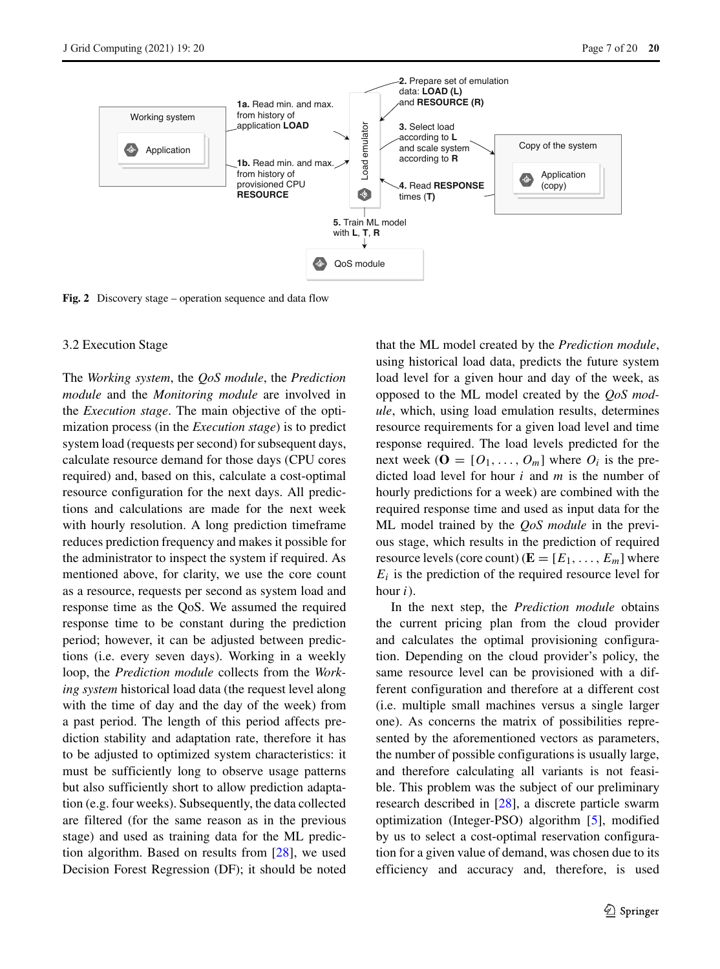<span id="page-6-1"></span>

**Fig. 2** Discovery stage – operation sequence and data flow

# <span id="page-6-0"></span>3.2 Execution Stage

The *Working system*, the *QoS module*, the *Prediction module* and the *Monitoring module* are involved in the *Execution stage*. The main objective of the optimization process (in the *Execution stage*) is to predict system load (requests per second) for subsequent days, calculate resource demand for those days (CPU cores required) and, based on this, calculate a cost-optimal resource configuration for the next days. All predictions and calculations are made for the next week with hourly resolution. A long prediction timeframe reduces prediction frequency and makes it possible for the administrator to inspect the system if required. As mentioned above, for clarity, we use the core count as a resource, requests per second as system load and response time as the QoS. We assumed the required response time to be constant during the prediction period; however, it can be adjusted between predictions (i.e. every seven days). Working in a weekly loop, the *Prediction module* collects from the *Working system* historical load data (the request level along with the time of day and the day of the week) from a past period. The length of this period affects prediction stability and adaptation rate, therefore it has to be adjusted to optimized system characteristics: it must be sufficiently long to observe usage patterns but also sufficiently short to allow prediction adaptation (e.g. four weeks). Subsequently, the data collected are filtered (for the same reason as in the previous stage) and used as training data for the ML prediction algorithm. Based on results from [\[28\]](#page-18-23), we used Decision Forest Regression (DF); it should be noted

that the ML model created by the *Prediction module*, using historical load data, predicts the future system load level for a given hour and day of the week, as opposed to the ML model created by the *QoS module*, which, using load emulation results, determines resource requirements for a given load level and time response required. The load levels predicted for the next week ( $\mathbf{O} = [O_1, \ldots, O_m]$  where  $O_i$  is the predicted load level for hour *i* and *m* is the number of hourly predictions for a week) are combined with the required response time and used as input data for the ML model trained by the *QoS module* in the previous stage, which results in the prediction of required resource levels (core count)  $(\mathbf{E} = [E_1, \ldots, E_m]$  where  $E_i$  is the prediction of the required resource level for hour *i*).

In the next step, the *Prediction module* obtains the current pricing plan from the cloud provider and calculates the optimal provisioning configuration. Depending on the cloud provider's policy, the same resource level can be provisioned with a different configuration and therefore at a different cost (i.e. multiple small machines versus a single larger one). As concerns the matrix of possibilities represented by the aforementioned vectors as parameters, the number of possible configurations is usually large, and therefore calculating all variants is not feasible. This problem was the subject of our preliminary research described in [\[28\]](#page-18-23), a discrete particle swarm optimization (Integer-PSO) algorithm [\[5\]](#page-17-7), modified by us to select a cost-optimal reservation configuration for a given value of demand, was chosen due to its efficiency and accuracy and, therefore, is used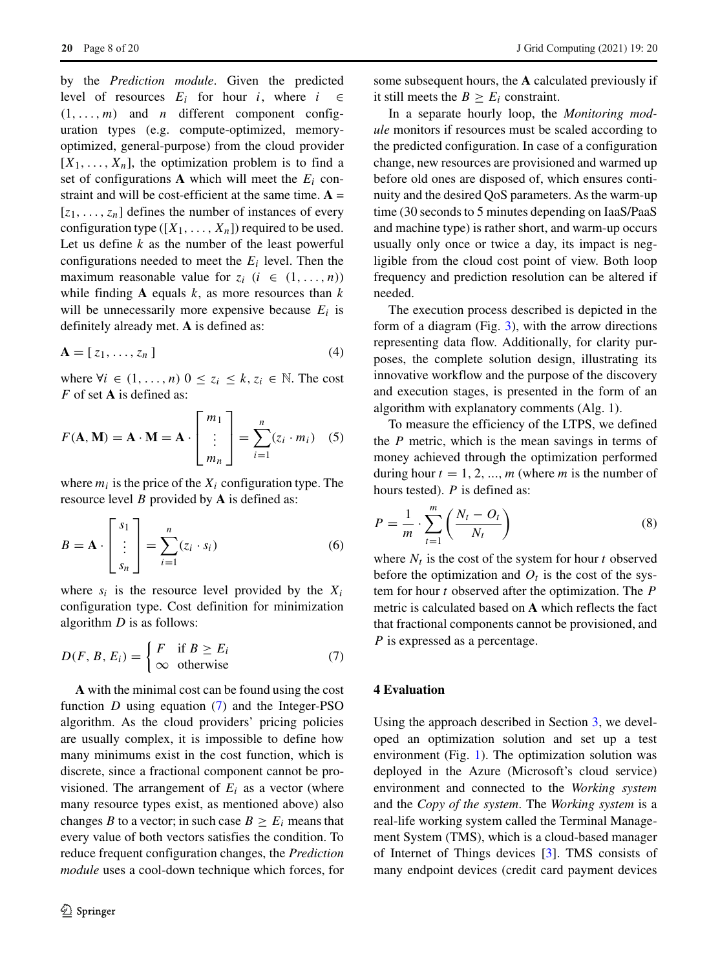by the *Prediction module*. Given the predicted level of resources  $E_i$  for hour *i*, where  $i \in$  $(1, \ldots, m)$  and *n* different component configuration types (e.g. compute-optimized, memoryoptimized, general-purpose) from the cloud provider  $[X_1, \ldots, X_n]$ , the optimization problem is to find a set of configurations  $A$  which will meet the  $E_i$  constraint and will be cost-efficient at the same time.  $A =$  $[z_1, \ldots, z_n]$  defines the number of instances of every configuration type  $([X_1, \ldots, X_n])$  required to be used. Let us define  $k$  as the number of the least powerful configurations needed to meet the *Ei* level. Then the maximum reasonable value for  $z_i$  ( $i \in (1, \ldots, n)$ ) while finding **A** equals *k*, as more resources than *k* will be unnecessarily more expensive because  $E_i$  is definitely already met. **A** is defined as:

$$
\mathbf{A} = [z_1, \dots, z_n]
$$
 (4)

where  $\forall i \in (1, \ldots, n)$   $0 \leq z_i \leq k, z_i \in \mathbb{N}$ . The cost *F* of set **A** is defined as:

$$
F(\mathbf{A}, \mathbf{M}) = \mathbf{A} \cdot \mathbf{M} = \mathbf{A} \cdot \begin{bmatrix} m_1 \\ \vdots \\ m_n \end{bmatrix} = \sum_{i=1}^n (z_i \cdot m_i) \quad (5)
$$

where  $m_i$  is the price of the  $X_i$  configuration type. The resource level *B* provided by **A** is defined as:

$$
B = \mathbf{A} \cdot \begin{bmatrix} s_1 \\ \vdots \\ s_n \end{bmatrix} = \sum_{i=1}^n (z_i \cdot s_i)
$$
 (6)

where  $s_i$  is the resource level provided by the  $X_i$ configuration type. Cost definition for minimization algorithm *D* is as follows:

<span id="page-7-1"></span>
$$
D(F, B, E_i) = \begin{cases} F & \text{if } B \ge E_i \\ \infty & \text{otherwise} \end{cases}
$$
 (7)

**A** with the minimal cost can be found using the cost function *D* using equation [\(7\)](#page-7-1) and the Integer-PSO algorithm. As the cloud providers' pricing policies are usually complex, it is impossible to define how many minimums exist in the cost function, which is discrete, since a fractional component cannot be provisioned. The arrangement of  $E_i$  as a vector (where many resource types exist, as mentioned above) also changes *B* to a vector; in such case  $B \ge E_i$  means that every value of both vectors satisfies the condition. To reduce frequent configuration changes, the *Prediction module* uses a cool-down technique which forces, for some subsequent hours, the **A** calculated previously if it still meets the  $B \ge E_i$  constraint.

In a separate hourly loop, the *Monitoring module* monitors if resources must be scaled according to the predicted configuration. In case of a configuration change, new resources are provisioned and warmed up before old ones are disposed of, which ensures continuity and the desired QoS parameters. As the warm-up time (30 seconds to 5 minutes depending on IaaS/PaaS and machine type) is rather short, and warm-up occurs usually only once or twice a day, its impact is negligible from the cloud cost point of view. Both loop frequency and prediction resolution can be altered if needed.

The execution process described is depicted in the form of a diagram (Fig. [3\)](#page-9-0), with the arrow directions representing data flow. Additionally, for clarity purposes, the complete solution design, illustrating its innovative workflow and the purpose of the discovery and execution stages, is presented in the form of an algorithm with explanatory comments (Alg. 1).

To measure the efficiency of the LTPS, we defined the *P* metric, which is the mean savings in terms of money achieved through the optimization performed during hour  $t = 1, 2, ..., m$  (where *m* is the number of hours tested). *P* is defined as:

<span id="page-7-2"></span>
$$
P = \frac{1}{m} \cdot \sum_{t=1}^{m} \left( \frac{N_t - O_t}{N_t} \right) \tag{8}
$$

where  $N_t$  is the cost of the system for hour *t* observed before the optimization and  $O_t$  is the cost of the system for hour *t* observed after the optimization. The *P* metric is calculated based on **A** which reflects the fact that fractional components cannot be provisioned, and *P* is expressed as a percentage.

# <span id="page-7-0"></span>**4 Evaluation**

Using the approach described in Section [3,](#page-3-0) we developed an optimization solution and set up a test environment (Fig. [1\)](#page-5-0). The optimization solution was deployed in the Azure (Microsoft's cloud service) environment and connected to the *Working system* and the *Copy of the system*. The *Working system* is a real-life working system called the Terminal Management System (TMS), which is a cloud-based manager of Internet of Things devices [\[3\]](#page-17-8). TMS consists of many endpoint devices (credit card payment devices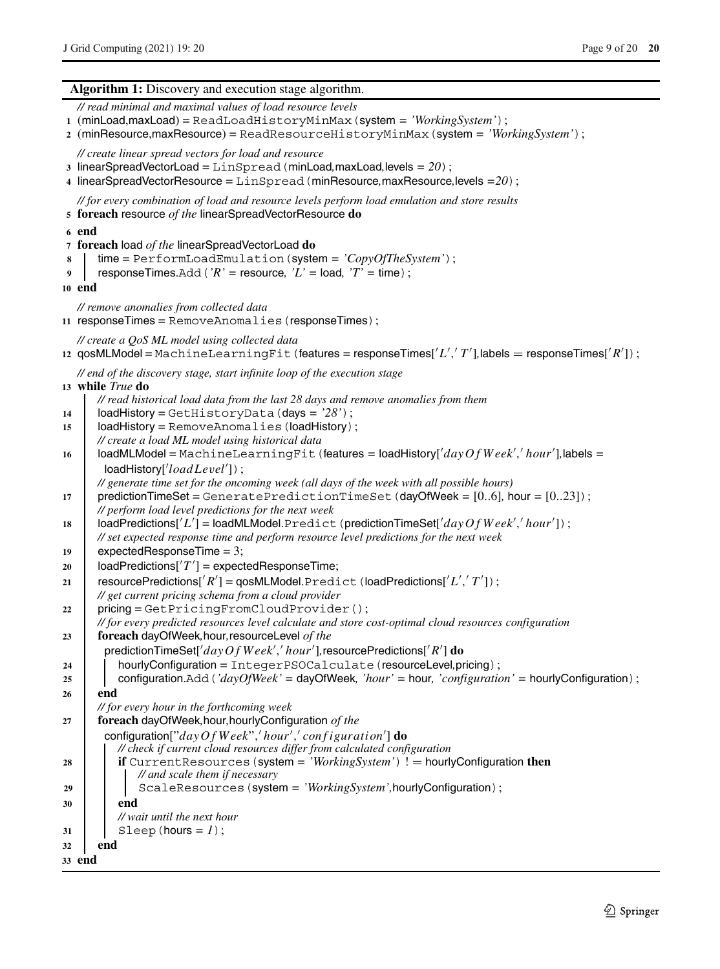#### **Algorithm 1:** Discovery and execution stage algorithm.

*// read minimal and maximal values of load resource levels* **<sup>1</sup>** (minLoad,maxLoad) = ReadLoadHistoryMinMax(system *= 'WorkingSystem'*); **<sup>2</sup>** (minResource,maxResource) = ReadResourceHistoryMinMax(system *= 'WorkingSystem'*); *// create linear spread vectors for load and resource* **<sup>3</sup>** linearSpreadVectorLoad = LinSpread(minLoad*,*maxLoad*,*levels *= 20*); **<sup>4</sup>** linearSpreadVectorResource = LinSpread(minResource*,*maxResource*,*levels *=20*); *// for every combination of load and resource levels perform load emulation and store results* **<sup>5</sup> foreach** resource *of the* linearSpreadVectorResource **do <sup>6</sup> end <sup>7</sup> foreach** load *of the* linearSpreadVectorLoad **do <sup>8</sup>** time = PerformLoadEmulation(system *= 'CopyOfTheSystem'*); **<sup>9</sup>** responseTimes.Add(*'R' =* resource*, 'L' =* load*, 'T' =* time); **<sup>10</sup> end** *// remove anomalies from collected data* **<sup>11</sup>** responseTimes = RemoveAnomalies(responseTimes); *// create a QoS ML model using collected data* 12  $\mathsf{qosMLModel} = \mathsf{MachineLearningFit}$  (features = responseTimes[ $'L', T'$ ],labels = responseTimes[ $'R'$ ]); *// end of the discovery stage, start infinite loop of the execution stage* **<sup>13</sup> while** *True* **do** *// read historical load data from the last 28 days and remove anomalies from them* **<sup>14</sup>** loadHistory = GetHistoryData(days *= '28'*); **<sup>15</sup>** loadHistory = RemoveAnomalies(loadHistory); *// create a load ML model using historical data* **<sup>16</sup>** loadMLModel = MachineLearningFit(features *=* loadHistory[ *dayOf W eek , hour* ]*,*labels *=* loadHistory[' $loadLevel$ ']); *// generate time set for the oncoming week (all days of the week with all possible hours)* **<sup>17</sup>** predictionTimeSet = GeneratePredictionTimeSet(dayOfWeek *=* [0*..*6]*,* hour *=* [0*..*23]); *// perform load level predictions for the next week* 18 | loadPredictions['L'] = loadMLModel.Predict(predictionTimeSet['dayOfWeek','hour']); *// set expected response time and perform resource level predictions for the next week* **<sup>19</sup>** expectedResponseTime = 3;  $20$  | loadPredictions[ $'T'$ ] = expectedResponseTime; 21 | resourcePredictions['*R'*] = qosMLModel.Predict(loadPredictions['*L','T'*]); *// get current pricing schema from a cloud provider* 22 | pricing = GetPricingFromCloudProvider(); *// for every predicted resources level calculate and store cost-optimal cloud resources configuration* **<sup>23</sup> foreach** dayOfWeek*,*hour*,*resourceLevel *of the* predictionTimeSet[ *dayOf W eek , hour* ]*,*resourcePredictions[ *R* ] **do <sup>24</sup>** hourlyConfiguration = IntegerPSOCalculate(resourceLevel*,*pricing); **<sup>25</sup>** configuration.Add(*'dayOfWeek' =* dayOfWeek*, 'hour' =* hour*, 'configuration' =* hourlyConfiguration); **<sup>26</sup> end** *// for every hour in the forthcoming week* **<sup>27</sup> foreach** dayOfWeek*,*hour*,*hourlyConfiguration *of the* configuration["dayOf Week",' hour',' configuration'] **do** *// check if current cloud resources differ from calculated configuration* **<sup>28</sup> if** CurrentResources(system *= 'WorkingSystem'*) ! = hourlyConfiguration **then** *// and scale them if necessary* 29 | ScaleResources (system = 'WorkingSystem',hourlyConfiguration); **<sup>30</sup> end** *// wait until the next hour*  $31$  Sleep(hours = 1); **<sup>32</sup> end**

**<sup>33</sup> end**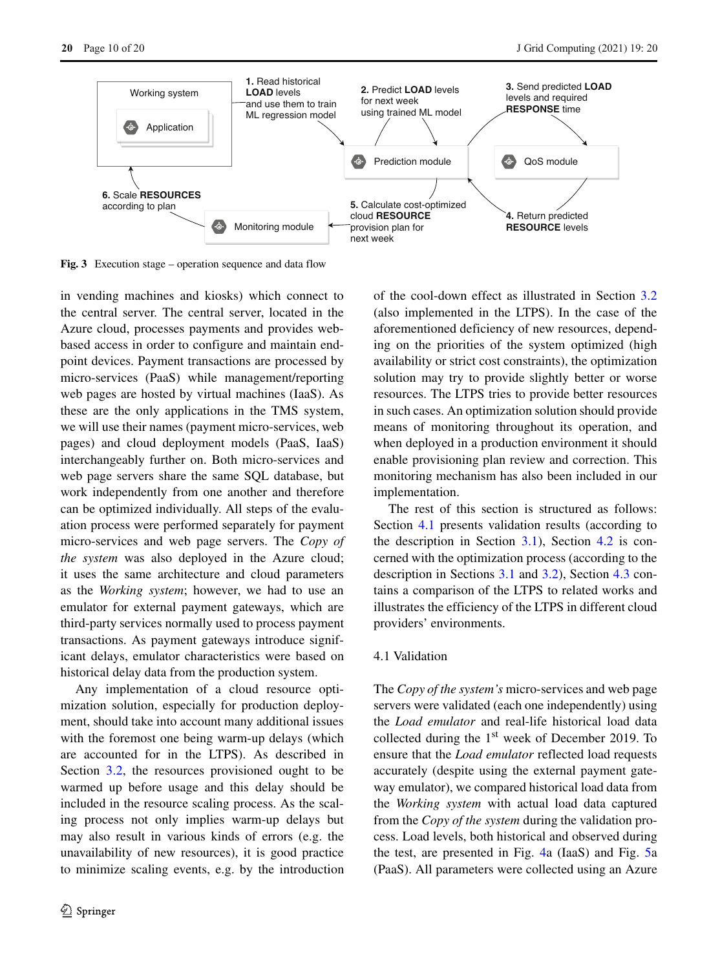<span id="page-9-0"></span>

**Fig. 3** Execution stage – operation sequence and data flow

in vending machines and kiosks) which connect to the central server. The central server, located in the Azure cloud, processes payments and provides webbased access in order to configure and maintain endpoint devices. Payment transactions are processed by micro-services (PaaS) while management/reporting web pages are hosted by virtual machines (IaaS). As these are the only applications in the TMS system, we will use their names (payment micro-services, web pages) and cloud deployment models (PaaS, IaaS) interchangeably further on. Both micro-services and web page servers share the same SQL database, but work independently from one another and therefore can be optimized individually. All steps of the evaluation process were performed separately for payment micro-services and web page servers. The *Copy of the system* was also deployed in the Azure cloud; it uses the same architecture and cloud parameters as the *Working system*; however, we had to use an emulator for external payment gateways, which are third-party services normally used to process payment transactions. As payment gateways introduce significant delays, emulator characteristics were based on historical delay data from the production system.

Any implementation of a cloud resource optimization solution, especially for production deployment, should take into account many additional issues with the foremost one being warm-up delays (which are accounted for in the LTPS). As described in Section [3.2,](#page-6-0) the resources provisioned ought to be warmed up before usage and this delay should be included in the resource scaling process. As the scaling process not only implies warm-up delays but may also result in various kinds of errors (e.g. the unavailability of new resources), it is good practice to minimize scaling events, e.g. by the introduction of the cool-down effect as illustrated in Section [3.2](#page-6-0) (also implemented in the LTPS). In the case of the aforementioned deficiency of new resources, depending on the priorities of the system optimized (high availability or strict cost constraints), the optimization solution may try to provide slightly better or worse resources. The LTPS tries to provide better resources in such cases. An optimization solution should provide means of monitoring throughout its operation, and when deployed in a production environment it should enable provisioning plan review and correction. This monitoring mechanism has also been included in our implementation.

The rest of this section is structured as follows: Section [4.1](#page-9-1) presents validation results (according to the description in Section  $3.1$ ), Section  $4.2$  is concerned with the optimization process (according to the description in Sections [3.1](#page-4-0) and [3.2\)](#page-6-0), Section [4.3](#page-14-0) contains a comparison of the LTPS to related works and illustrates the efficiency of the LTPS in different cloud providers' environments.

## <span id="page-9-1"></span>4.1 Validation

The *Copy of the system's* micro-services and web page servers were validated (each one independently) using the *Load emulator* and real-life historical load data collected during the  $1<sup>st</sup>$  week of December 2019. To ensure that the *Load emulator* reflected load requests accurately (despite using the external payment gateway emulator), we compared historical load data from the *Working system* with actual load data captured from the *Copy of the system* during the validation process. Load levels, both historical and observed during the test, are presented in Fig. [4a](#page-10-1) (IaaS) and Fig. [5a](#page-11-0) (PaaS). All parameters were collected using an Azure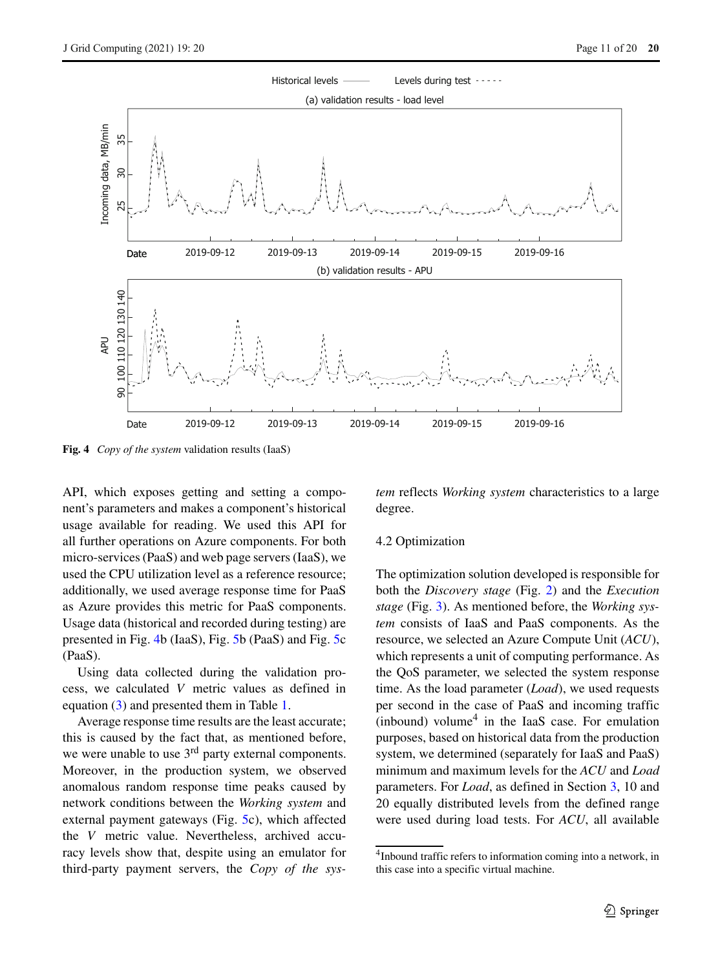<span id="page-10-1"></span>

**Fig. 4** *Copy of the system* validation results (IaaS)

API, which exposes getting and setting a component's parameters and makes a component's historical usage available for reading. We used this API for all further operations on Azure components. For both micro-services (PaaS) and web page servers (IaaS), we used the CPU utilization level as a reference resource; additionally, we used average response time for PaaS as Azure provides this metric for PaaS components. Usage data (historical and recorded during testing) are presented in Fig. [4b](#page-10-1) (IaaS), Fig. [5b](#page-11-0) (PaaS) and Fig. [5c](#page-11-0) (PaaS).

Using data collected during the validation process, we calculated *V* metric values as defined in equation [\(3\)](#page-5-1) and presented them in Table [1.](#page-11-1)

Average response time results are the least accurate; this is caused by the fact that, as mentioned before, we were unable to use  $3<sup>rd</sup>$  party external components. Moreover, in the production system, we observed anomalous random response time peaks caused by network conditions between the *Working system* and external payment gateways (Fig. [5c](#page-11-0)), which affected the *V* metric value. Nevertheless, archived accuracy levels show that, despite using an emulator for third-party payment servers, the *Copy of the sys-* *tem* reflects *Working system* characteristics to a large degree.

## <span id="page-10-0"></span>4.2 Optimization

The optimization solution developed is responsible for both the *Discovery stage* (Fig. [2\)](#page-6-1) and the *Execution stage* (Fig. [3\)](#page-9-0). As mentioned before, the *Working system* consists of IaaS and PaaS components. As the resource, we selected an Azure Compute Unit (*ACU*), which represents a unit of computing performance. As the QoS parameter, we selected the system response time. As the load parameter (*Load*), we used requests per second in the case of PaaS and incoming traffic (inbound) volume<sup>[4](#page-10-2)</sup> in the IaaS case. For emulation purposes, based on historical data from the production system, we determined (separately for IaaS and PaaS) minimum and maximum levels for the *ACU* and *Load* parameters. For *Load*, as defined in Section [3,](#page-3-0) 10 and 20 equally distributed levels from the defined range were used during load tests. For *ACU*, all available

<span id="page-10-2"></span><sup>4</sup>Inbound traffic refers to information coming into a network, in this case into a specific virtual machine.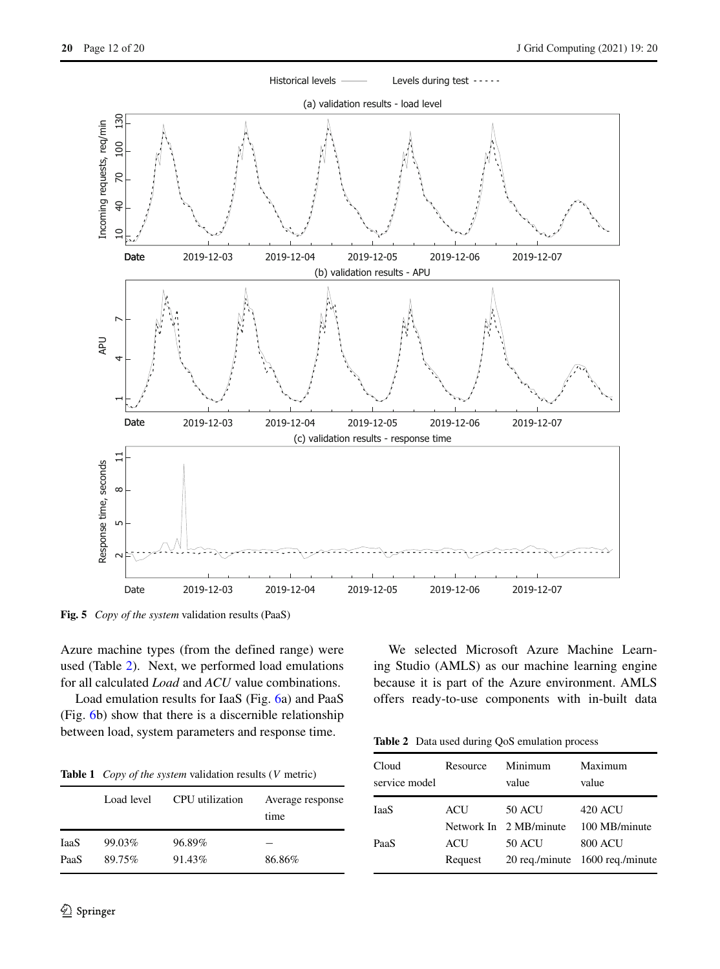<span id="page-11-0"></span>

**Fig. 5** *Copy of the system* validation results (PaaS)

Azure machine types (from the defined range) were used (Table [2\)](#page-11-2). Next, we performed load emulations for all calculated *Load* and *ACU* value combinations.

Load emulation results for IaaS (Fig. [6a](#page-12-0)) and PaaS (Fig. [6b](#page-12-0)) show that there is a discernible relationship between load, system parameters and response time.

<span id="page-11-1"></span>

|  |  | <b>Table 1</b> Copy of the system validation results $(V \text{ metric})$ |  |  |  |
|--|--|---------------------------------------------------------------------------|--|--|--|
|--|--|---------------------------------------------------------------------------|--|--|--|

|      | Load level | CPU utilization | Average response<br>time |
|------|------------|-----------------|--------------------------|
| IaaS | 99.03%     | 96.89%          |                          |
| PaaS | 89.75%     | 91.43%          | 86.86%                   |

We selected Microsoft Azure Machine Learning Studio (AMLS) as our machine learning engine because it is part of the Azure environment. AMLS offers ready-to-use components with in-built data

<span id="page-11-2"></span>**Table 2** Data used during QoS emulation process

| Cloud<br>service model | Resource | Minimum<br>value       | Maximum<br>value                |
|------------------------|----------|------------------------|---------------------------------|
| IaaS                   | ACU      | <b>50 ACU</b>          | 420 ACU                         |
|                        |          | Network In 2 MB/minute | 100 MB/minute                   |
| PaaS                   | ACU      | <b>50 ACU</b>          | <b>800 ACU</b>                  |
|                        | Request  |                        | 20 reg./minute 1600 reg./minute |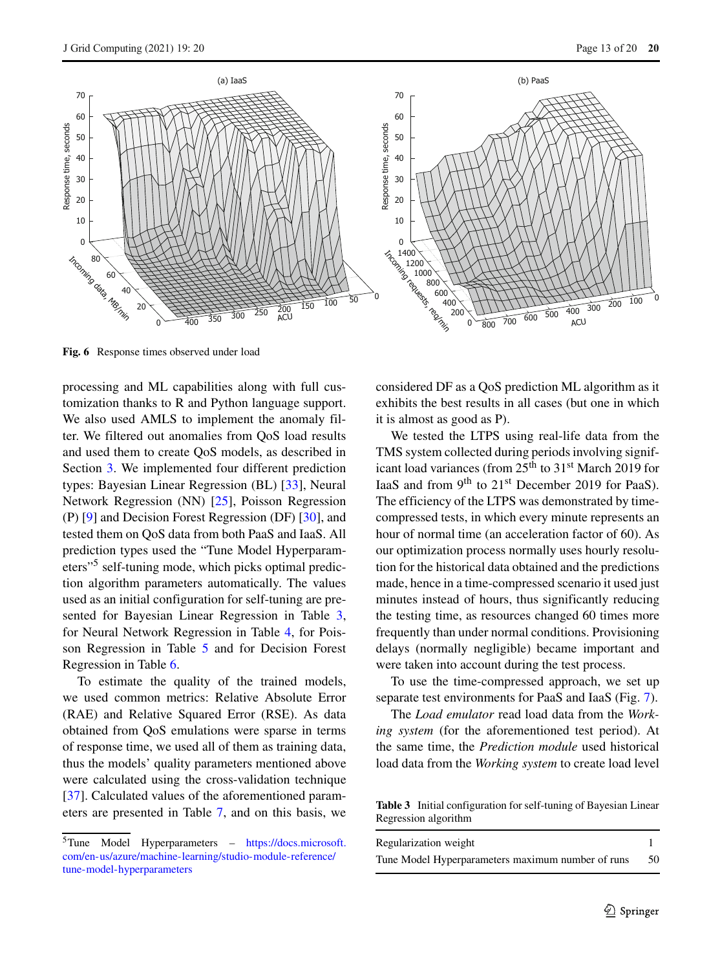<span id="page-12-0"></span>

**Fig. 6** Response times observed under load

processing and ML capabilities along with full customization thanks to R and Python language support. We also used AMLS to implement the anomaly filter. We filtered out anomalies from QoS load results and used them to create QoS models, as described in Section [3.](#page-3-0) We implemented four different prediction types: Bayesian Linear Regression (BL) [\[33\]](#page-18-25), Neural Network Regression (NN) [\[25\]](#page-18-26), Poisson Regression (P) [\[9\]](#page-17-6) and Decision Forest Regression (DF) [\[30\]](#page-18-27), and tested them on QoS data from both PaaS and IaaS. All prediction types used the "Tune Model Hyperparameters"[5](#page-12-1) self-tuning mode, which picks optimal prediction algorithm parameters automatically. The values used as an initial configuration for self-tuning are presented for Bayesian Linear Regression in Table [3,](#page-12-2) for Neural Network Regression in Table [4,](#page-13-0) for Poisson Regression in Table [5](#page-13-1) and for Decision Forest Regression in Table [6.](#page-13-2)

To estimate the quality of the trained models, we used common metrics: Relative Absolute Error (RAE) and Relative Squared Error (RSE). As data obtained from QoS emulations were sparse in terms of response time, we used all of them as training data, thus the models' quality parameters mentioned above were calculated using the cross-validation technique [\[37\]](#page-18-28). Calculated values of the aforementioned parameters are presented in Table [7,](#page-14-1) and on this basis, we considered DF as a QoS prediction ML algorithm as it exhibits the best results in all cases (but one in which it is almost as good as P).

We tested the LTPS using real-life data from the TMS system collected during periods involving significant load variances (from 25<sup>th</sup> to 31<sup>st</sup> March 2019 for IaaS and from 9<sup>th</sup> to 21<sup>st</sup> December 2019 for PaaS). The efficiency of the LTPS was demonstrated by timecompressed tests, in which every minute represents an hour of normal time (an acceleration factor of 60). As our optimization process normally uses hourly resolution for the historical data obtained and the predictions made, hence in a time-compressed scenario it used just minutes instead of hours, thus significantly reducing the testing time, as resources changed 60 times more frequently than under normal conditions. Provisioning delays (normally negligible) became important and were taken into account during the test process.

To use the time-compressed approach, we set up separate test environments for PaaS and IaaS (Fig. [7\)](#page-15-0).

The *Load emulator* read load data from the *Working system* (for the aforementioned test period). At the same time, the *Prediction module* used historical load data from the *Working system* to create load level

<span id="page-12-2"></span>**Table 3** Initial configuration for self-tuning of Bayesian Linear Regression algorithm

| Regularization weight                             |    |
|---------------------------------------------------|----|
| Tune Model Hyperparameters maximum number of runs | 50 |

<span id="page-12-1"></span><sup>5</sup>Tune Model Hyperparameters – [https://docs.microsoft.](https://docs.microsoft.com/en-us/azure/machine-learning/studio-module-reference/tune-model-hyperparameters) [com/en-us/azure/machine-learning/studio-module-reference/](https://docs.microsoft.com/en-us/azure/machine-learning/studio-module-reference/tune-model-hyperparameters) [tune-model-hyperparameters](https://docs.microsoft.com/en-us/azure/machine-learning/studio-module-reference/tune-model-hyperparameters)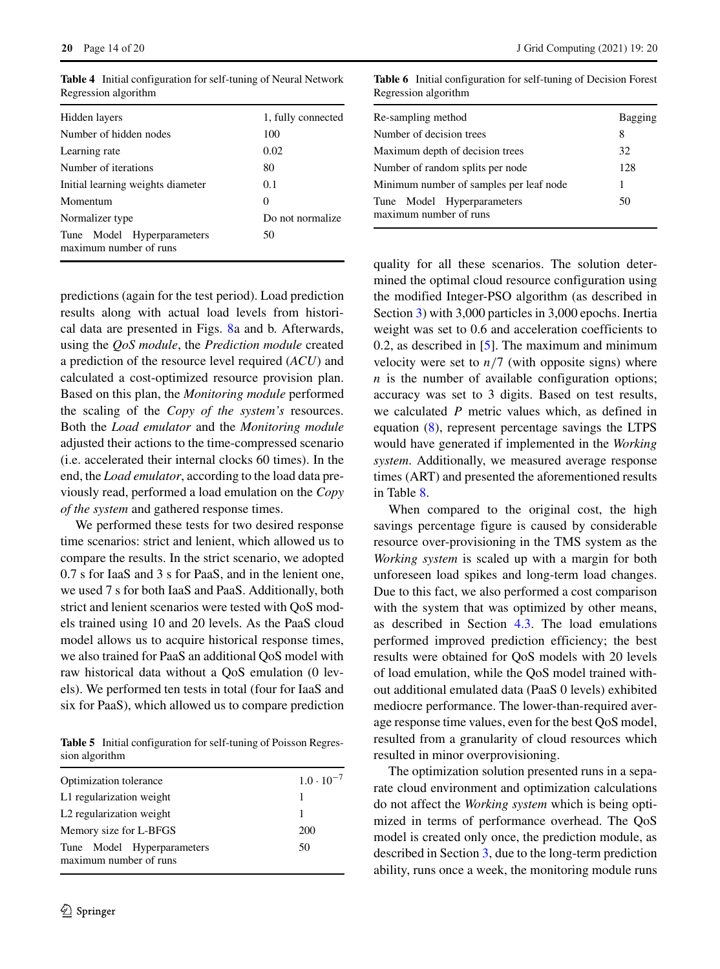| Hidden layers                                        | 1, fully connected |  |  |
|------------------------------------------------------|--------------------|--|--|
| Number of hidden nodes                               | 100                |  |  |
| Learning rate                                        | 0.02               |  |  |
| Number of iterations                                 | 80                 |  |  |
| Initial learning weights diameter                    | 0.1                |  |  |
| Momentum                                             | 0                  |  |  |
| Normalizer type                                      | Do not normalize   |  |  |
| Tune Model Hyperparameters<br>maximum number of runs | 50                 |  |  |

<span id="page-13-0"></span>**Table 4** Initial configuration for self-tuning of Neural Network Regression algorithm

predictions (again for the test period). Load prediction results along with actual load levels from historical data are presented in Figs. [8a](#page-15-1) and b. Afterwards, using the *QoS module*, the *Prediction module* created a prediction of the resource level required (*ACU*) and calculated a cost-optimized resource provision plan. Based on this plan, the *Monitoring module* performed the scaling of the *Copy of the system's* resources. Both the *Load emulator* and the *Monitoring module* adjusted their actions to the time-compressed scenario (i.e. accelerated their internal clocks 60 times). In the end, the *Load emulator*, according to the load data previously read, performed a load emulation on the *Copy of the system* and gathered response times.

We performed these tests for two desired response time scenarios: strict and lenient, which allowed us to compare the results. In the strict scenario, we adopted 0.7 s for IaaS and 3 s for PaaS, and in the lenient one, we used 7 s for both IaaS and PaaS. Additionally, both strict and lenient scenarios were tested with QoS models trained using 10 and 20 levels. As the PaaS cloud model allows us to acquire historical response times, we also trained for PaaS an additional QoS model with raw historical data without a QoS emulation (0 levels). We performed ten tests in total (four for IaaS and six for PaaS), which allowed us to compare prediction

<span id="page-13-1"></span>**Table 5** Initial configuration for self-tuning of Poisson Regression algorithm

| Optimization tolerance                               | $1.0 \cdot 10^{-7}$ |
|------------------------------------------------------|---------------------|
| L1 regularization weight                             |                     |
| L <sub>2</sub> regularization weight                 |                     |
| Memory size for L-BFGS                               | 200                 |
| Tune Model Hyperparameters<br>maximum number of runs | 50                  |

<span id="page-13-2"></span>**Table 6** Initial configuration for self-tuning of Decision Forest Regression algorithm

| Re-sampling method                                   | Bagging |
|------------------------------------------------------|---------|
| Number of decision trees                             | 8       |
| Maximum depth of decision trees                      | 32      |
| Number of random splits per node                     | 128     |
| Minimum number of samples per leaf node              | 1       |
| Tune Model Hyperparameters<br>maximum number of runs | 50      |

quality for all these scenarios. The solution determined the optimal cloud resource configuration using the modified Integer-PSO algorithm (as described in Section [3\)](#page-3-0) with 3,000 particles in 3,000 epochs. Inertia weight was set to 0.6 and acceleration coefficients to 0.2, as described in [\[5\]](#page-17-7). The maximum and minimum velocity were set to  $n/7$  (with opposite signs) where  $n$  is the number of available configuration options; accuracy was set to 3 digits. Based on test results, we calculated *P* metric values which, as defined in equation [\(8\)](#page-7-2), represent percentage savings the LTPS would have generated if implemented in the *Working system*. Additionally, we measured average response times (ART) and presented the aforementioned results in Table [8.](#page-16-1)

When compared to the original cost, the high savings percentage figure is caused by considerable resource over-provisioning in the TMS system as the *Working system* is scaled up with a margin for both unforeseen load spikes and long-term load changes. Due to this fact, we also performed a cost comparison with the system that was optimized by other means, as described in Section [4.3.](#page-14-0) The load emulations performed improved prediction efficiency; the best results were obtained for QoS models with 20 levels of load emulation, while the QoS model trained without additional emulated data (PaaS 0 levels) exhibited mediocre performance. The lower-than-required average response time values, even for the best QoS model, resulted from a granularity of cloud resources which resulted in minor overprovisioning.

The optimization solution presented runs in a separate cloud environment and optimization calculations do not affect the *Working system* which is being optimized in terms of performance overhead. The QoS model is created only once, the prediction module, as described in Section [3,](#page-3-0) due to the long-term prediction ability, runs once a week, the monitoring module runs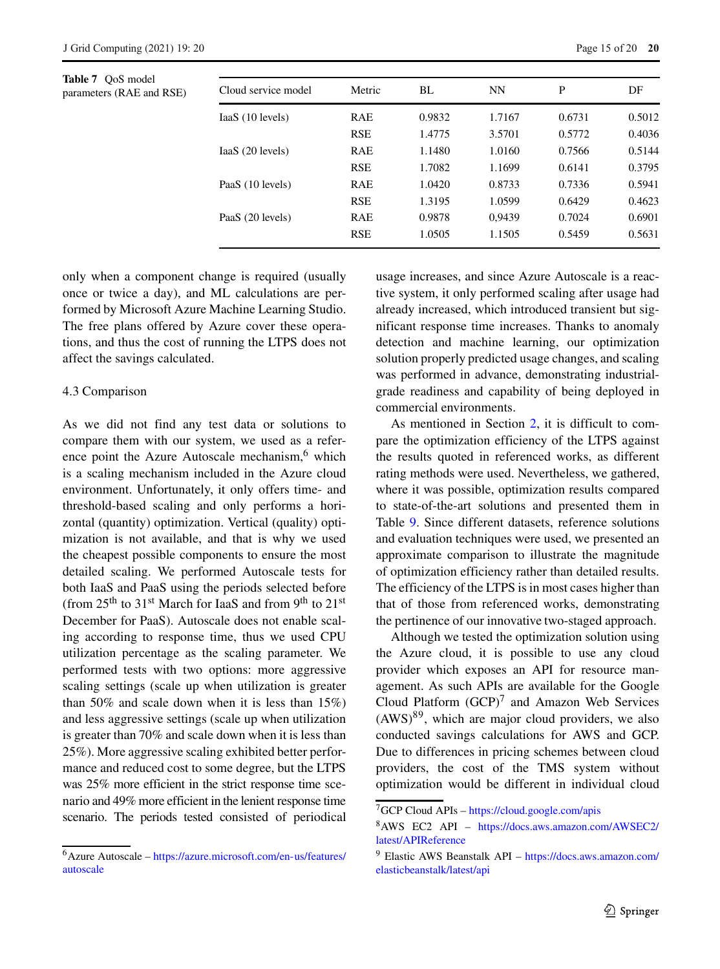<span id="page-14-1"></span>**Table 7** QoS model parameters (RAE and RSE)

| Cloud service model | Metric     | BL     | <b>NN</b> | P      | DF     |
|---------------------|------------|--------|-----------|--------|--------|
| IaaS (10 levels)    | <b>RAE</b> | 0.9832 | 1,7167    | 0.6731 | 0.5012 |
|                     | <b>RSE</b> | 1.4775 | 3.5701    | 0.5772 | 0.4036 |
| $IaaS$ (20 levels)  | <b>RAE</b> | 1.1480 | 1.0160    | 0.7566 | 0.5144 |
|                     | <b>RSE</b> | 1.7082 | 1.1699    | 0.6141 | 0.3795 |
| PaaS (10 levels)    | <b>RAE</b> | 1.0420 | 0.8733    | 0.7336 | 0.5941 |
|                     | <b>RSE</b> | 1.3195 | 1.0599    | 0.6429 | 0.4623 |
| PaaS (20 levels)    | <b>RAE</b> | 0.9878 | 0.9439    | 0.7024 | 0.6901 |
|                     | <b>RSE</b> | 1.0505 | 1.1505    | 0.5459 | 0.5631 |

only when a component change is required (usually once or twice a day), and ML calculations are performed by Microsoft Azure Machine Learning Studio. The free plans offered by Azure cover these operations, and thus the cost of running the LTPS does not affect the savings calculated.

## <span id="page-14-0"></span>4.3 Comparison

As we did not find any test data or solutions to compare them with our system, we used as a refer-ence point the Azure Autoscale mechanism,<sup>[6](#page-14-2)</sup> which is a scaling mechanism included in the Azure cloud environment. Unfortunately, it only offers time- and threshold-based scaling and only performs a horizontal (quantity) optimization. Vertical (quality) optimization is not available, and that is why we used the cheapest possible components to ensure the most detailed scaling. We performed Autoscale tests for both IaaS and PaaS using the periods selected before (from  $25<sup>th</sup>$  to  $31<sup>st</sup>$  March for IaaS and from  $9<sup>th</sup>$  to  $21<sup>st</sup>$ December for PaaS). Autoscale does not enable scaling according to response time, thus we used CPU utilization percentage as the scaling parameter. We performed tests with two options: more aggressive scaling settings (scale up when utilization is greater than 50% and scale down when it is less than  $15\%$ ) and less aggressive settings (scale up when utilization is greater than 70% and scale down when it is less than 25%). More aggressive scaling exhibited better performance and reduced cost to some degree, but the LTPS was 25% more efficient in the strict response time scenario and 49% more efficient in the lenient response time scenario. The periods tested consisted of periodical

usage increases, and since Azure Autoscale is a reactive system, it only performed scaling after usage had already increased, which introduced transient but significant response time increases. Thanks to anomaly detection and machine learning, our optimization solution properly predicted usage changes, and scaling was performed in advance, demonstrating industrialgrade readiness and capability of being deployed in commercial environments.

As mentioned in Section [2,](#page-1-0) it is difficult to compare the optimization efficiency of the LTPS against the results quoted in referenced works, as different rating methods were used. Nevertheless, we gathered, where it was possible, optimization results compared to state-of-the-art solutions and presented them in Table [9.](#page-16-2) Since different datasets, reference solutions and evaluation techniques were used, we presented an approximate comparison to illustrate the magnitude of optimization efficiency rather than detailed results. The efficiency of the LTPS is in most cases higher than that of those from referenced works, demonstrating the pertinence of our innovative two-staged approach.

Although we tested the optimization solution using the Azure cloud, it is possible to use any cloud provider which exposes an API for resource management. As such APIs are available for the Google Cloud Platform  $(GCP)^7$  and Amazon Web Services  $(AWS)^{89}$  $(AWS)^{89}$  $(AWS)^{89}$  $(AWS)^{89}$ , which are major cloud providers, we also conducted savings calculations for AWS and GCP. Due to differences in pricing schemes between cloud providers, the cost of the TMS system without optimization would be different in individual cloud

<span id="page-14-2"></span><sup>6</sup>Azure Autoscale – [https://azure.microsoft.com/en-us/features/](https://azure.microsoft.com/en-us/features/autoscale) [autoscale](https://azure.microsoft.com/en-us/features/autoscale)

<sup>7</sup>GCP Cloud APIs – <https://cloud.google.com/apis>

<span id="page-14-4"></span><span id="page-14-3"></span><sup>8</sup>AWS EC2 API – [https://docs.aws.amazon.com/AWSEC2/](https://docs.aws.amazon.com/AWSEC2/latest/APIReference) [latest/APIReference](https://docs.aws.amazon.com/AWSEC2/latest/APIReference)

<span id="page-14-5"></span><sup>9</sup> Elastic AWS Beanstalk API – [https://docs.aws.amazon.com/](https://docs.aws.amazon.com/elasticbeanstalk/latest/api) [elasticbeanstalk/latest/api](https://docs.aws.amazon.com/elasticbeanstalk/latest/api)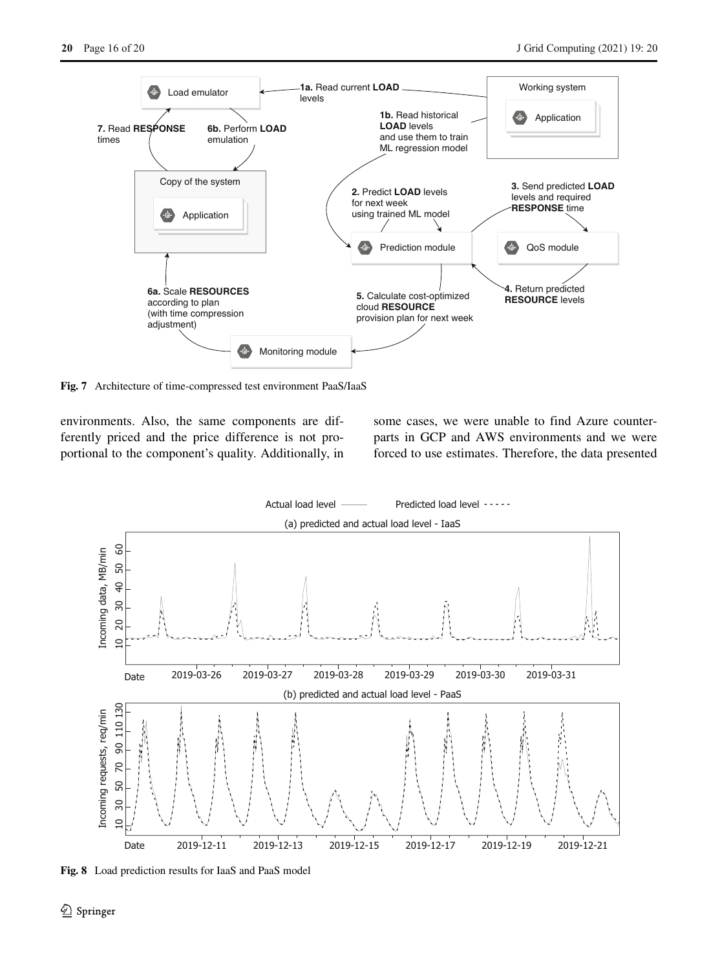<span id="page-15-0"></span>

**Fig. 7** Architecture of time-compressed test environment PaaS/IaaS

environments. Also, the same components are differently priced and the price difference is not proportional to the component's quality. Additionally, in some cases, we were unable to find Azure counterparts in GCP and AWS environments and we were forced to use estimates. Therefore, the data presented

<span id="page-15-1"></span>

**Fig. 8** Load prediction results for IaaS and PaaS model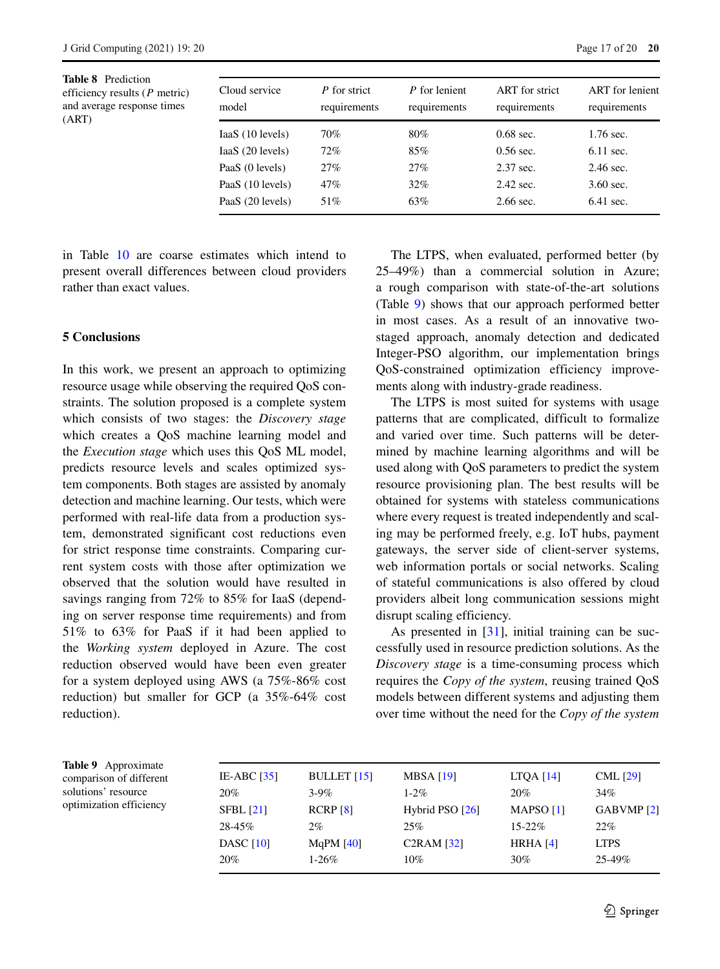<span id="page-16-1"></span>**Table 8** Prediction efficiency results (*P* metric) and average response times (ART)

| Cloud service<br>model | P for strict<br>requirements | P for lenient<br>requirements | ART for strict<br>requirements | <b>ART</b> for lenient<br>requirements |
|------------------------|------------------------------|-------------------------------|--------------------------------|----------------------------------------|
| IaaS (10 levels)       | 70%                          | 80%                           | $0.68$ sec.                    | $1.76$ sec.                            |
| $IaaS$ (20 levels)     | 72%                          | 85%                           | $0.56$ sec.                    | $6.11$ sec.                            |
| PaaS (0 levels)        | 27%                          | 27%                           | 2.37 sec.                      | $2.46$ sec.                            |
| PaaS (10 levels)       | 47%                          | 32%                           | $2.42$ sec.                    | $3.60 \text{ sec.}$                    |
| PaaS (20 levels)       | 51%                          | 63%                           | $2.66$ sec.                    | $6.41$ sec.                            |

in Table [10](#page-17-9) are coarse estimates which intend to present overall differences between cloud providers rather than exact values.

# <span id="page-16-0"></span>**5 Conclusions**

In this work, we present an approach to optimizing resource usage while observing the required QoS constraints. The solution proposed is a complete system which consists of two stages: the *Discovery stage* which creates a QoS machine learning model and the *Execution stage* which uses this QoS ML model, predicts resource levels and scales optimized system components. Both stages are assisted by anomaly detection and machine learning. Our tests, which were performed with real-life data from a production system, demonstrated significant cost reductions even for strict response time constraints. Comparing current system costs with those after optimization we observed that the solution would have resulted in savings ranging from 72% to 85% for IaaS (depending on server response time requirements) and from 51% to 63% for PaaS if it had been applied to the *Working system* deployed in Azure. The cost reduction observed would have been even greater for a system deployed using AWS (a 75%-86% cost reduction) but smaller for GCP (a 35%-64% cost reduction).

The LTPS, when evaluated, performed better (by 25–49%) than a commercial solution in Azure; a rough comparison with state-of-the-art solutions (Table [9\)](#page-16-2) shows that our approach performed better in most cases. As a result of an innovative twostaged approach, anomaly detection and dedicated Integer-PSO algorithm, our implementation brings QoS-constrained optimization efficiency improvements along with industry-grade readiness.

The LTPS is most suited for systems with usage patterns that are complicated, difficult to formalize and varied over time. Such patterns will be determined by machine learning algorithms and will be used along with QoS parameters to predict the system resource provisioning plan. The best results will be obtained for systems with stateless communications where every request is treated independently and scaling may be performed freely, e.g. IoT hubs, payment gateways, the server side of client-server systems, web information portals or social networks. Scaling of stateful communications is also offered by cloud providers albeit long communication sessions might disrupt scaling efficiency.

As presented in [\[31\]](#page-18-2), initial training can be successfully used in resource prediction solutions. As the *Discovery stage* is a time-consuming process which requires the *Copy of the system*, reusing trained QoS models between different systems and adjusting them over time without the need for the *Copy of the system*

<span id="page-16-2"></span>**Table 9** Approximate comparison of different solutions' resource optimization efficiency

| BULLET $[15]$ | <b>MBSA</b> [19]  | LTQA $[14]$          | CML $[29]$            |
|---------------|-------------------|----------------------|-----------------------|
| $3-9\%$       | $1 - 2\%$         | 20%                  | 34%                   |
| RCRP [8]      | Hybrid PSO $[26]$ | MAPSO <sub>[1]</sub> | GABVMP <sub>[2]</sub> |
| 2%            | 25%               | $15 - 22\%$          | 22%                   |
| MqPM $[40]$   | C2RAM [32]        | HRHA $[4]$           | <b>LTPS</b>           |
| $1-26\%$      | $10\%$            | $30\%$               | $25 - 49\%$           |
|               |                   |                      |                       |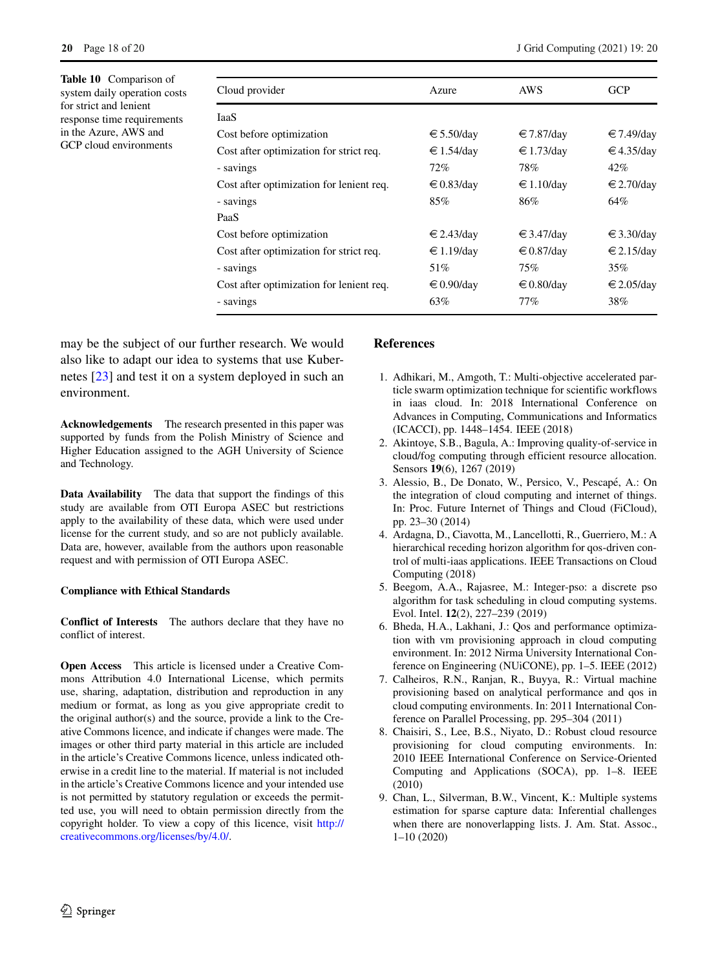<span id="page-17-9"></span>**Table 10** Comparison of system daily operation costs for strict and lenient response time requirements in the Azure, AWS and GCP cloud environments

| Cloud provider                           | Azure               | AWS                 | <b>GCP</b>          |
|------------------------------------------|---------------------|---------------------|---------------------|
| <b>IaaS</b>                              |                     |                     |                     |
| Cost before optimization                 | € 5.50/day          | € 7.87/day          | $€7.49$ /day        |
| Cost after optimization for strict req.  | € 1.54/day          | € 1.73/day          | €4.35/day           |
| - savings                                | 72%                 | 78%                 | 42%                 |
| Cost after optimization for lenient req. | $\in 0.83$ /day     | € 1.10/day          | $\epsilon$ 2.70/day |
| - savings                                | 85%                 | 86%                 | 64%                 |
| PaaS                                     |                     |                     |                     |
| Cost before optimization                 | $\epsilon$ 2.43/day | $\epsilon$ 3.47/day | $\epsilon$ 3.30/day |
| Cost after optimization for strict req.  | $€ 1.19$ /day       | € 0.87/day          | $\epsilon$ 2.15/day |
| - savings                                | 51%                 | 75%                 | 35%                 |
| Cost after optimization for lenient req. | $\epsilon$ 0.90/day | $\epsilon$ 0.80/day | $\epsilon$ 2.05/day |
| - savings                                | 63%                 | 77%                 | 38%                 |

may be the subject of our further research. We would also like to adapt our idea to systems that use Kubernetes [\[23\]](#page-18-29) and test it on a system deployed in such an environment.

**Acknowledgements** The research presented in this paper was supported by funds from the Polish Ministry of Science and Higher Education assigned to the AGH University of Science and Technology.

**Data Availability** The data that support the findings of this study are available from OTI Europa ASEC but restrictions apply to the availability of these data, which were used under license for the current study, and so are not publicly available. Data are, however, available from the authors upon reasonable request and with permission of OTI Europa ASEC.

## **Compliance with Ethical Standards**

**Conflict of Interests** The authors declare that they have no conflict of interest.

**Open Access** This article is licensed under a Creative Commons Attribution 4.0 International License, which permits use, sharing, adaptation, distribution and reproduction in any medium or format, as long as you give appropriate credit to the original author(s) and the source, provide a link to the Creative Commons licence, and indicate if changes were made. The images or other third party material in this article are included in the article's Creative Commons licence, unless indicated otherwise in a credit line to the material. If material is not included in the article's Creative Commons licence and your intended use is not permitted by statutory regulation or exceeds the permitted use, you will need to obtain permission directly from the copyright holder. To view a copy of this licence, visit [http://](http://creativecommons.org/licenses/by/4.0/) [creativecommons.org/licenses/by/4.0/.](http://creativecommons.org/licenses/by/4.0/)

# **References**

- <span id="page-17-0"></span>1. Adhikari, M., Amgoth, T.: Multi-objective accelerated particle swarm optimization technique for scientific workflows in iaas cloud. In: 2018 International Conference on Advances in Computing, Communications and Informatics (ICACCI), pp. 1448–1454. IEEE (2018)
- <span id="page-17-2"></span>2. Akintoye, S.B., Bagula, A.: Improving quality-of-service in cloud/fog computing through efficient resource allocation. Sensors **19**(6), 1267 (2019)
- <span id="page-17-8"></span>3. Alessio, B., De Donato, W., Persico, V., Pescapé, A.: On the integration of cloud computing and internet of things. In: Proc. Future Internet of Things and Cloud (FiCloud), pp. 23–30 (2014)
- <span id="page-17-5"></span>4. Ardagna, D., Ciavotta, M., Lancellotti, R., Guerriero, M.: A hierarchical receding horizon algorithm for qos-driven control of multi-iaas applications. IEEE Transactions on Cloud Computing (2018)
- <span id="page-17-7"></span>5. Beegom, A.A., Rajasree, M.: Integer-pso: a discrete pso algorithm for task scheduling in cloud computing systems. Evol. Intel. **12**(2), 227–239 (2019)
- <span id="page-17-3"></span>6. Bheda, H.A., Lakhani, J.: Qos and performance optimization with vm provisioning approach in cloud computing environment. In: 2012 Nirma University International Conference on Engineering (NUiCONE), pp. 1–5. IEEE (2012)
- <span id="page-17-4"></span>7. Calheiros, R.N., Ranjan, R., Buyya, R.: Virtual machine provisioning based on analytical performance and qos in cloud computing environments. In: 2011 International Conference on Parallel Processing, pp. 295–304 (2011)
- <span id="page-17-1"></span>8. Chaisiri, S., Lee, B.S., Niyato, D.: Robust cloud resource provisioning for cloud computing environments. In: 2010 IEEE International Conference on Service-Oriented Computing and Applications (SOCA), pp. 1–8. IEEE (2010)
- <span id="page-17-6"></span>9. Chan, L., Silverman, B.W., Vincent, K.: Multiple systems estimation for sparse capture data: Inferential challenges when there are nonoverlapping lists. J. Am. Stat. Assoc., 1–10 (2020)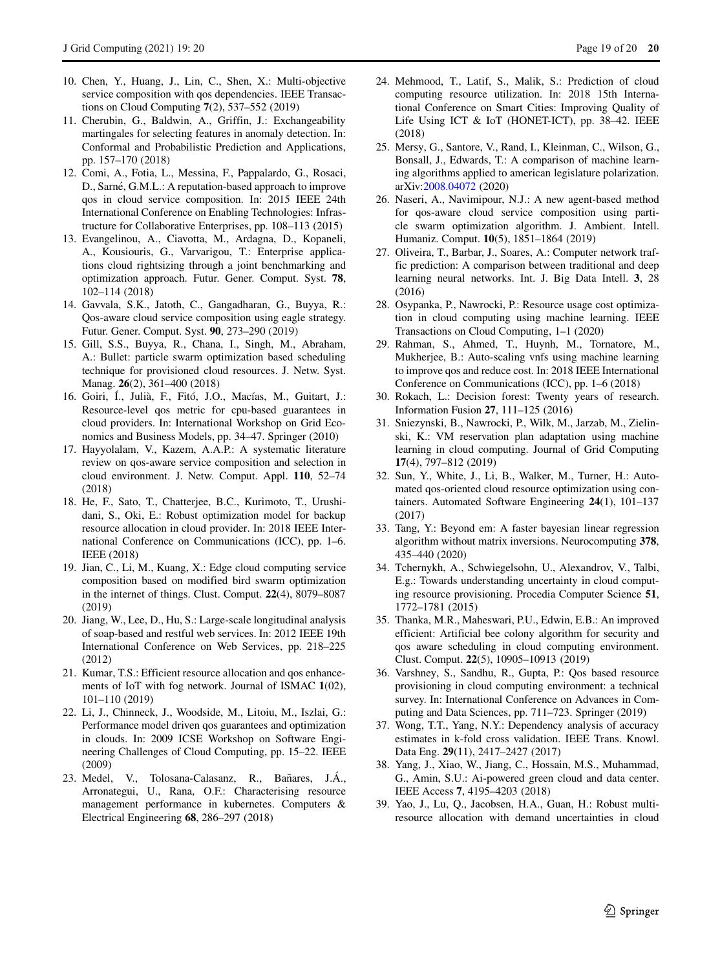- <span id="page-18-8"></span>10. Chen, Y., Huang, J., Lin, C., Shen, X.: Multi-objective service composition with qos dependencies. IEEE Transactions on Cloud Computing **7**(2), 537–552 (2019)
- <span id="page-18-24"></span>11. Cherubin, G., Baldwin, A., Griffin, J.: Exchangeability martingales for selecting features in anomaly detection. In: Conformal and Probabilistic Prediction and Applications, pp. 157–170 (2018)
- <span id="page-18-10"></span>12. Comi, A., Fotia, L., Messina, F., Pappalardo, G., Rosaci, D., Sarné, G.M.L.: A reputation-based approach to improve qos in cloud service composition. In: 2015 IEEE 24th International Conference on Enabling Technologies: Infrastructure for Collaborative Enterprises, pp. 108–113 (2015)
- <span id="page-18-0"></span>13. Evangelinou, A., Ciavotta, M., Ardagna, D., Kopaneli, A., Kousiouris, G., Varvarigou, T.: Enterprise applications cloud rightsizing through a joint benchmarking and optimization approach. Futur. Gener. Comput. Syst. **78**, 102–114 (2018)
- <span id="page-18-14"></span>14. Gavvala, S.K., Jatoth, C., Gangadharan, G., Buyya, R.: Qos-aware cloud service composition using eagle strategy. Futur. Gener. Comput. Syst. **90**, 273–290 (2019)
- <span id="page-18-12"></span>15. Gill, S.S., Buyya, R., Chana, I., Singh, M., Abraham, A.: Bullet: particle swarm optimization based scheduling technique for provisioned cloud resources. J. Netw. Syst. Manag. **26**(2), 361–400 (2018)
- <span id="page-18-17"></span>16. Goiri, I., Julià, F., Fitó, J.O., Macías, M., Guitart, J.: Resource-level qos metric for cpu-based guarantees in cloud providers. In: International Workshop on Grid Economics and Business Models, pp. 34–47. Springer (2010)
- <span id="page-18-7"></span>17. Hayyolalam, V., Kazem, A.A.P.: A systematic literature review on qos-aware service composition and selection in cloud environment. J. Netw. Comput. Appl. **110**, 52–74 (2018)
- <span id="page-18-18"></span>18. He, F., Sato, T., Chatterjee, B.C., Kurimoto, T., Urushidani, S., Oki, E.: Robust optimization model for backup resource allocation in cloud provider. In: 2018 IEEE International Conference on Communications (ICC), pp. 1–6. IEEE (2018)
- <span id="page-18-13"></span>19. Jian, C., Li, M., Kuang, X.: Edge cloud computing service composition based on modified bird swarm optimization in the internet of things. Clust. Comput. **22**(4), 8079–8087 (2019)
- <span id="page-18-9"></span>20. Jiang, W., Lee, D., Hu, S.: Large-scale longitudinal analysis of soap-based and restful web services. In: 2012 IEEE 19th International Conference on Web Services, pp. 218–225 (2012)
- <span id="page-18-19"></span>21. Kumar, T.S.: Efficient resource allocation and qos enhancements of IoT with fog network. Journal of ISMAC **1**(02), 101–110 (2019)
- <span id="page-18-15"></span>22. Li, J., Chinneck, J., Woodside, M., Litoiu, M., Iszlai, G.: Performance model driven qos guarantees and optimization in clouds. In: 2009 ICSE Workshop on Software Engineering Challenges of Cloud Computing, pp. 15–22. IEEE (2009)
- <span id="page-18-29"></span>23. Medel, V., Tolosana-Calasanz, R., Bañares, J.Á., Arronategui, U., Rana, O.F.: Characterising resource management performance in kubernetes. Computers & Electrical Engineering **68**, 286–297 (2018)
- <span id="page-18-6"></span>24. Mehmood, T., Latif, S., Malik, S.: Prediction of cloud computing resource utilization. In: 2018 15th International Conference on Smart Cities: Improving Quality of Life Using ICT & IoT (HONET-ICT), pp. 38–42. IEEE (2018)
- <span id="page-18-26"></span>25. Mersy, G., Santore, V., Rand, I., Kleinman, C., Wilson, G., Bonsall, J., Edwards, T.: A comparison of machine learning algorithms applied to american legislature polarization. arXiv[:2008.04072](http://arxiv.org/abs/2008.04072) (2020)
- <span id="page-18-1"></span>26. Naseri, A., Navimipour, N.J.: A new agent-based method for qos-aware cloud service composition using particle swarm optimization algorithm. J. Ambient. Intell. Humaniz. Comput. **10**(5), 1851–1864 (2019)
- <span id="page-18-20"></span>27. Oliveira, T., Barbar, J., Soares, A.: Computer network traffic prediction: A comparison between traditional and deep learning neural networks. Int. J. Big Data Intell. **3**, 28 (2016)
- <span id="page-18-23"></span>28. Osypanka, P., Nawrocki, P.: Resource usage cost optimization in cloud computing using machine learning. IEEE Transactions on Cloud Computing, 1–1 (2020)
- <span id="page-18-21"></span>29. Rahman, S., Ahmed, T., Huynh, M., Tornatore, M., Mukherjee, B.: Auto-scaling vnfs using machine learning to improve qos and reduce cost. In: 2018 IEEE International Conference on Communications (ICC), pp. 1–6 (2018)
- <span id="page-18-27"></span>30. Rokach, L.: Decision forest: Twenty years of research. Information Fusion **27**, 111–125 (2016)
- <span id="page-18-2"></span>31. Sniezynski, B., Nawrocki, P., Wilk, M., Jarzab, M., Zielinski, K.: VM reservation plan adaptation using machine learning in cloud computing. Journal of Grid Computing **17**(4), 797–812 (2019)
- <span id="page-18-22"></span>32. Sun, Y., White, J., Li, B., Walker, M., Turner, H.: Automated qos-oriented cloud resource optimization using containers. Automated Software Engineering **24**(1), 101–137 (2017)
- <span id="page-18-25"></span>33. Tang, Y.: Beyond em: A faster bayesian linear regression algorithm without matrix inversions. Neurocomputing **378**, 435–440 (2020)
- <span id="page-18-3"></span>34. Tchernykh, A., Schwiegelsohn, U., Alexandrov, V., Talbi, E.g.: Towards understanding uncertainty in cloud computing resource provisioning. Procedia Computer Science **51**, 1772–1781 (2015)
- <span id="page-18-11"></span>35. Thanka, M.R., Maheswari, P.U., Edwin, E.B.: An improved efficient: Artificial bee colony algorithm for security and qos aware scheduling in cloud computing environment. Clust. Comput. **22**(5), 10905–10913 (2019)
- <span id="page-18-16"></span>36. Varshney, S., Sandhu, R., Gupta, P.: Qos based resource provisioning in cloud computing environment: a technical survey. In: International Conference on Advances in Computing and Data Sciences, pp. 711–723. Springer (2019)
- <span id="page-18-28"></span>37. Wong, T.T., Yang, N.Y.: Dependency analysis of accuracy estimates in k-fold cross validation. IEEE Trans. Knowl. Data Eng. **29**(11), 2417–2427 (2017)
- <span id="page-18-4"></span>38. Yang, J., Xiao, W., Jiang, C., Hossain, M.S., Muhammad, G., Amin, S.U.: Ai-powered green cloud and data center. IEEE Access **7**, 4195–4203 (2018)
- <span id="page-18-5"></span>39. Yao, J., Lu, Q., Jacobsen, H.A., Guan, H.: Robust multiresource allocation with demand uncertainties in cloud